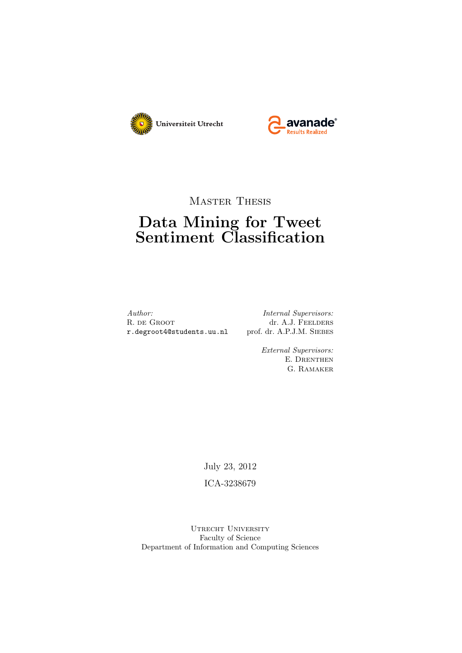



Master Thesis

## Data Mining for Tweet Sentiment Classification

Author: Internal Supervisors: R. DE GROOT dr. A.J. FEELDERS<br> **r.degroot4@students.uu.nl** prof. dr. A.P.J.M. SIEBES r.degroot4@students.uu.nl

External Supervisors: E. DRENTHEN G. Ramaker

July 23, 2012

ICA-3238679

UTRECHT UNIVERSITY Faculty of Science Department of Information and Computing Sciences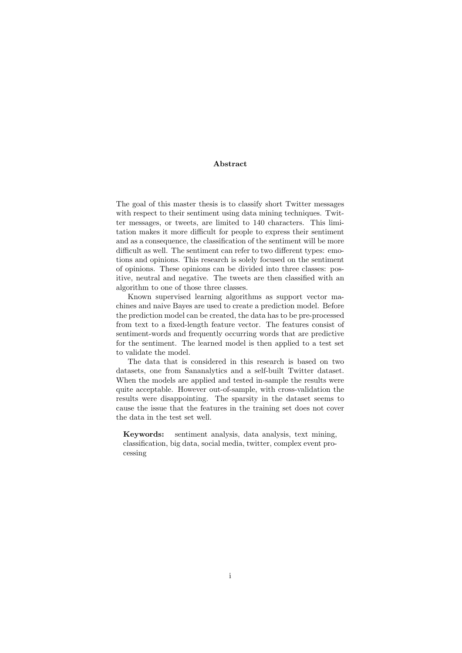#### Abstract

The goal of this master thesis is to classify short Twitter messages with respect to their sentiment using data mining techniques. Twitter messages, or tweets, are limited to 140 characters. This limitation makes it more difficult for people to express their sentiment and as a consequence, the classification of the sentiment will be more difficult as well. The sentiment can refer to two different types: emotions and opinions. This research is solely focused on the sentiment of opinions. These opinions can be divided into three classes: positive, neutral and negative. The tweets are then classified with an algorithm to one of those three classes.

Known supervised learning algorithms as support vector machines and naive Bayes are used to create a prediction model. Before the prediction model can be created, the data has to be pre-processed from text to a fixed-length feature vector. The features consist of sentiment-words and frequently occurring words that are predictive for the sentiment. The learned model is then applied to a test set to validate the model.

The data that is considered in this research is based on two datasets, one from Sananalytics and a self-built Twitter dataset. When the models are applied and tested in-sample the results were quite acceptable. However out-of-sample, with cross-validation the results were disappointing. The sparsity in the dataset seems to cause the issue that the features in the training set does not cover the data in the test set well.

Keywords: sentiment analysis, data analysis, text mining, classification, big data, social media, twitter, complex event processing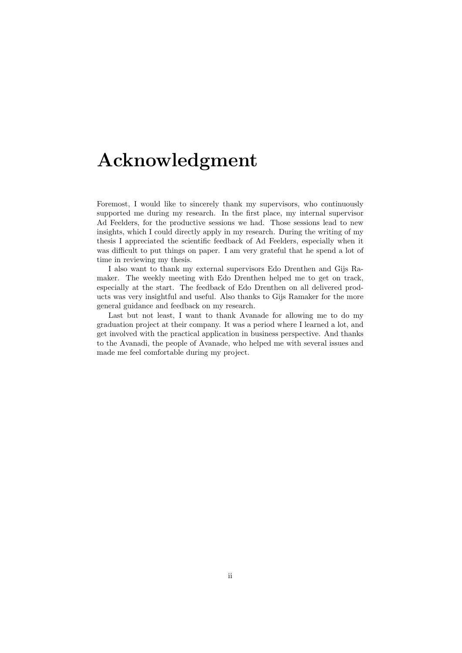## Acknowledgment

Foremost, I would like to sincerely thank my supervisors, who continuously supported me during my research. In the first place, my internal supervisor Ad Feelders, for the productive sessions we had. Those sessions lead to new insights, which I could directly apply in my research. During the writing of my thesis I appreciated the scientific feedback of Ad Feelders, especially when it was difficult to put things on paper. I am very grateful that he spend a lot of time in reviewing my thesis.

I also want to thank my external supervisors Edo Drenthen and Gijs Ramaker. The weekly meeting with Edo Drenthen helped me to get on track, especially at the start. The feedback of Edo Drenthen on all delivered products was very insightful and useful. Also thanks to Gijs Ramaker for the more general guidance and feedback on my research.

Last but not least, I want to thank Avanade for allowing me to do my graduation project at their company. It was a period where I learned a lot, and get involved with the practical application in business perspective. And thanks to the Avanadi, the people of Avanade, who helped me with several issues and made me feel comfortable during my project.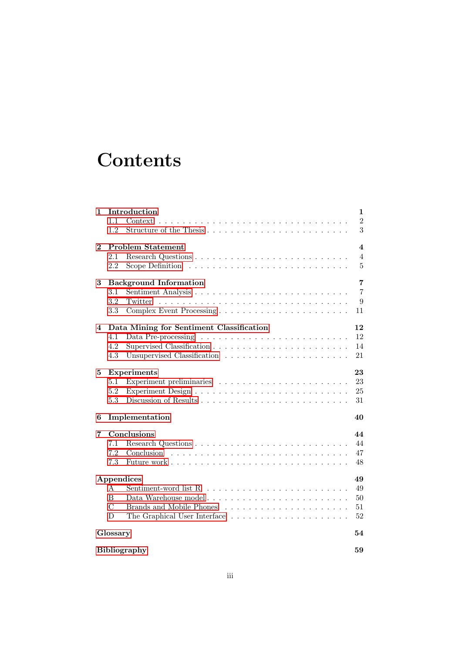# **Contents**

| 1        | Introduction                                                                          | 1                       |
|----------|---------------------------------------------------------------------------------------|-------------------------|
|          | 1.1<br>Context                                                                        | $\overline{2}$          |
|          | 1.2                                                                                   | 3                       |
| $\bf{2}$ | <b>Problem Statement</b>                                                              | $\overline{\mathbf{4}}$ |
|          | 2.1                                                                                   | $\overline{4}$          |
|          | 2.2<br>Scope Definition $\dots \dots \dots \dots \dots \dots \dots \dots \dots \dots$ | $\overline{5}$          |
| 3        | <b>Background Information</b>                                                         | 7                       |
|          | $3.1\,$                                                                               | $\overline{7}$          |
|          | 3.2<br>Twitter                                                                        | 9                       |
|          | 3.3                                                                                   | 11                      |
| 4        | Data Mining for Sentiment Classification                                              | 12                      |
|          | 4.1                                                                                   | 12                      |
|          | 4.2                                                                                   | 14                      |
|          | 4.3                                                                                   | 21                      |
| 5        | <b>Experiments</b>                                                                    | 23                      |
|          | 5.1                                                                                   | 23                      |
|          | 5.2                                                                                   | 25                      |
|          | 5.3                                                                                   | 31                      |
| 6        | Implementation                                                                        | 40                      |
| 7        | Conclusions                                                                           | 44                      |
|          | 7.1                                                                                   | 44                      |
|          | 7.2                                                                                   | 47                      |
|          | 7.3                                                                                   | 48                      |
|          | Appendices                                                                            | 49                      |
|          | A                                                                                     | 49                      |
|          | B<br>Data Warehouse model                                                             | 50                      |
|          | $\mathcal{C}$                                                                         | 51                      |
|          | D                                                                                     | 52                      |
|          | Glossary                                                                              | 54                      |
|          | <b>Bibliography</b>                                                                   | 59                      |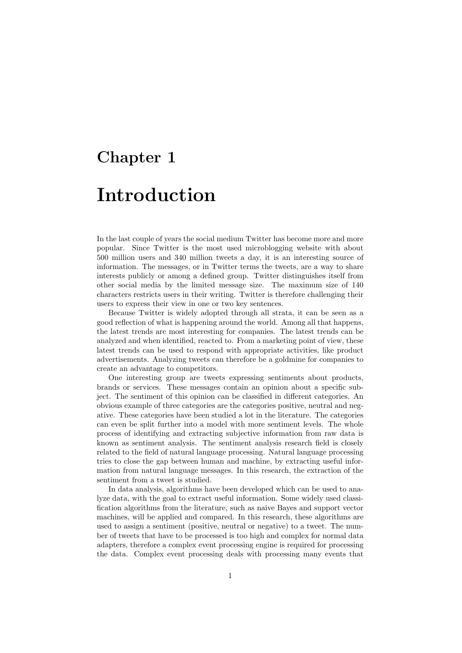## <span id="page-4-0"></span>Chapter 1

# Introduction

In the last couple of years the social medium Twitter has become more and more popular. Since Twitter is the most used microblogging website with about 500 million users and 340 million tweets a day, it is an interesting source of information. The messages, or in Twitter terms the tweets, are a way to share interests publicly or among a defined group. Twitter distinguishes itself from other social media by the limited message size. The maximum size of 140 characters restricts users in their writing. Twitter is therefore challenging their users to express their view in one or two key sentences.

Because Twitter is widely adopted through all strata, it can be seen as a good reflection of what is happening around the world. Among all that happens, the latest trends are most interesting for companies. The latest trends can be analyzed and when identified, reacted to. From a marketing point of view, these latest trends can be used to respond with appropriate activities, like product advertisements. Analyzing tweets can therefore be a goldmine for companies to create an advantage to competitors.

One interesting group are tweets expressing sentiments about products, brands or services. These messages contain an opinion about a specific subject. The sentiment of this opinion can be classified in different categories. An obvious example of three categories are the categories positive, neutral and negative. These categories have been studied a lot in the literature. The categories can even be split further into a model with more sentiment levels. The whole process of identifying and extracting subjective information from raw data is known as sentiment analysis. The sentiment analysis research field is closely related to the field of natural language processing. Natural language processing tries to close the gap between human and machine, by extracting useful information from natural language messages. In this research, the extraction of the sentiment from a tweet is studied.

In data analysis, algorithms have been developed which can be used to analyze data, with the goal to extract useful information. Some widely used classification algorithms from the literature, such as naive Bayes and support vector machines, will be applied and compared. In this research, these algorithms are used to assign a sentiment (positive, neutral or negative) to a tweet. The number of tweets that have to be processed is too high and complex for normal data adapters, therefore a complex event processing engine is required for processing the data. Complex event processing deals with processing many events that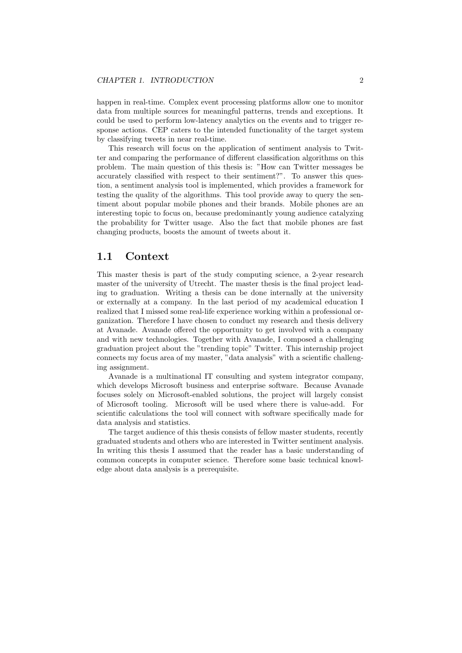happen in real-time. Complex event processing platforms allow one to monitor data from multiple sources for meaningful patterns, trends and exceptions. It could be used to perform low-latency analytics on the events and to trigger response actions. CEP caters to the intended functionality of the target system by classifying tweets in near real-time.

This research will focus on the application of sentiment analysis to Twitter and comparing the performance of different classification algorithms on this problem. The main question of this thesis is: "How can Twitter messages be accurately classified with respect to their sentiment?". To answer this question, a sentiment analysis tool is implemented, which provides a framework for testing the quality of the algorithms. This tool provide away to query the sentiment about popular mobile phones and their brands. Mobile phones are an interesting topic to focus on, because predominantly young audience catalyzing the probability for Twitter usage. Also the fact that mobile phones are fast changing products, boosts the amount of tweets about it.

## <span id="page-5-0"></span>1.1 Context

This master thesis is part of the study computing science, a 2-year research master of the university of Utrecht. The master thesis is the final project leading to graduation. Writing a thesis can be done internally at the university or externally at a company. In the last period of my academical education I realized that I missed some real-life experience working within a professional organization. Therefore I have chosen to conduct my research and thesis delivery at Avanade. Avanade offered the opportunity to get involved with a company and with new technologies. Together with Avanade, I composed a challenging graduation project about the "trending topic" Twitter. This internship project connects my focus area of my master, "data analysis" with a scientific challenging assignment.

Avanade is a multinational IT consulting and system integrator company, which develops Microsoft business and enterprise software. Because Avanade focuses solely on Microsoft-enabled solutions, the project will largely consist of Microsoft tooling. Microsoft will be used where there is value-add. For scientific calculations the tool will connect with software specifically made for data analysis and statistics.

The target audience of this thesis consists of fellow master students, recently graduated students and others who are interested in Twitter sentiment analysis. In writing this thesis I assumed that the reader has a basic understanding of common concepts in computer science. Therefore some basic technical knowledge about data analysis is a prerequisite.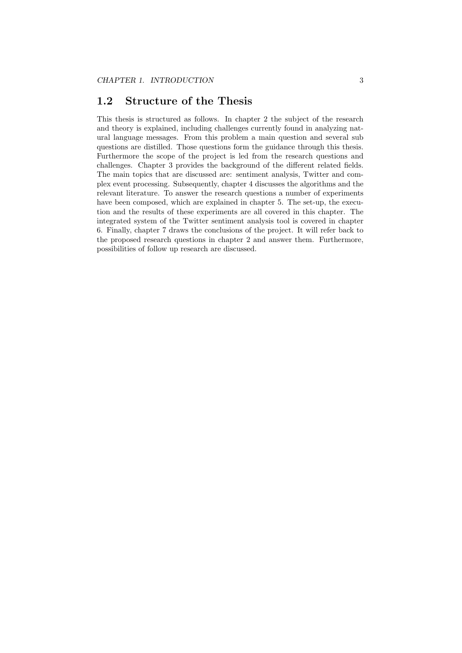## <span id="page-6-0"></span>1.2 Structure of the Thesis

This thesis is structured as follows. In chapter 2 the subject of the research and theory is explained, including challenges currently found in analyzing natural language messages. From this problem a main question and several sub questions are distilled. Those questions form the guidance through this thesis. Furthermore the scope of the project is led from the research questions and challenges. Chapter 3 provides the background of the different related fields. The main topics that are discussed are: sentiment analysis, Twitter and complex event processing. Subsequently, chapter 4 discusses the algorithms and the relevant literature. To answer the research questions a number of experiments have been composed, which are explained in chapter 5. The set-up, the execution and the results of these experiments are all covered in this chapter. The integrated system of the Twitter sentiment analysis tool is covered in chapter 6. Finally, chapter 7 draws the conclusions of the project. It will refer back to the proposed research questions in chapter 2 and answer them. Furthermore, possibilities of follow up research are discussed.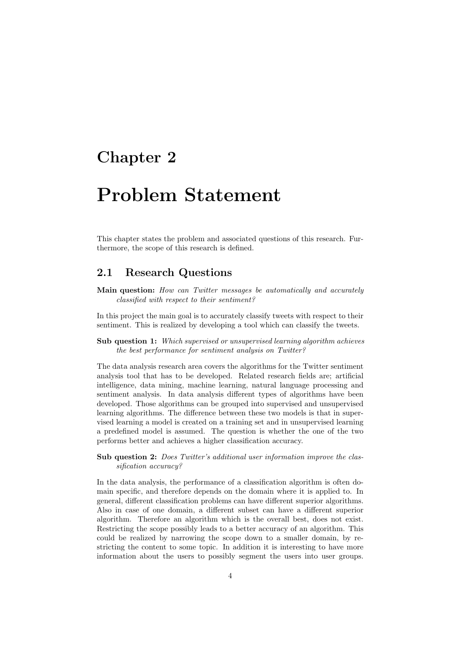## <span id="page-7-0"></span>Chapter 2

# Problem Statement

This chapter states the problem and associated questions of this research. Furthermore, the scope of this research is defined.

## <span id="page-7-1"></span>2.1 Research Questions

Main question: How can Twitter messages be automatically and accurately classified with respect to their sentiment?

In this project the main goal is to accurately classify tweets with respect to their sentiment. This is realized by developing a tool which can classify the tweets.

Sub question 1: Which supervised or unsupervised learning algorithm achieves the best performance for sentiment analysis on Twitter?

The data analysis research area covers the algorithms for the Twitter sentiment analysis tool that has to be developed. Related research fields are; artificial intelligence, data mining, machine learning, natural language processing and sentiment analysis. In data analysis different types of algorithms have been developed. Those algorithms can be grouped into supervised and unsupervised learning algorithms. The difference between these two models is that in supervised learning a model is created on a training set and in unsupervised learning a predefined model is assumed. The question is whether the one of the two performs better and achieves a higher classification accuracy.

### Sub question 2: Does Twitter's additional user information improve the classification accuracy?

In the data analysis, the performance of a classification algorithm is often domain specific, and therefore depends on the domain where it is applied to. In general, different classification problems can have different superior algorithms. Also in case of one domain, a different subset can have a different superior algorithm. Therefore an algorithm which is the overall best, does not exist. Restricting the scope possibly leads to a better accuracy of an algorithm. This could be realized by narrowing the scope down to a smaller domain, by restricting the content to some topic. In addition it is interesting to have more information about the users to possibly segment the users into user groups.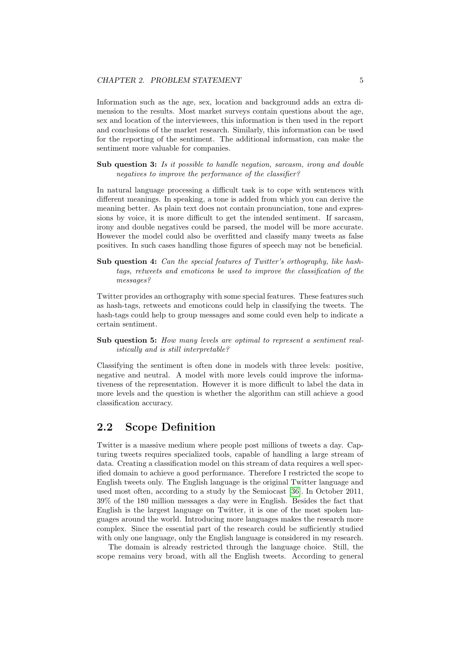Information such as the age, sex, location and background adds an extra dimension to the results. Most market surveys contain questions about the age, sex and location of the interviewees, this information is then used in the report and conclusions of the market research. Similarly, this information can be used for the reporting of the sentiment. The additional information, can make the sentiment more valuable for companies.

Sub question 3: Is it possible to handle negation, sarcasm, irony and double negatives to improve the performance of the classifier?

In natural language processing a difficult task is to cope with sentences with different meanings. In speaking, a tone is added from which you can derive the meaning better. As plain text does not contain pronunciation, tone and expressions by voice, it is more difficult to get the intended sentiment. If sarcasm, irony and double negatives could be parsed, the model will be more accurate. However the model could also be overfitted and classify many tweets as false positives. In such cases handling those figures of speech may not be beneficial.

Sub question 4: Can the special features of Twitter's orthography, like hashtags, retweets and emoticons be used to improve the classification of the messages?

Twitter provides an orthography with some special features. These features such as hash-tags, retweets and emoticons could help in classifying the tweets. The hash-tags could help to group messages and some could even help to indicate a certain sentiment.

Sub question 5: How many levels are optimal to represent a sentiment realistically and is still interpretable?

Classifying the sentiment is often done in models with three levels: positive, negative and neutral. A model with more levels could improve the informativeness of the representation. However it is more difficult to label the data in more levels and the question is whether the algorithm can still achieve a good classification accuracy.

## <span id="page-8-0"></span>2.2 Scope Definition

Twitter is a massive medium where people post millions of tweets a day. Capturing tweets requires specialized tools, capable of handling a large stream of data. Creating a classification model on this stream of data requires a well specified domain to achieve a good performance. Therefore I restricted the scope to English tweets only. The English language is the original Twitter language and used most often, according to a study by the Semiocast [\[36\]](#page-61-0). In October 2011, 39% of the 180 million messages a day were in English. Besides the fact that English is the largest language on Twitter, it is one of the most spoken languages around the world. Introducing more languages makes the research more complex. Since the essential part of the research could be sufficiently studied with only one language, only the English language is considered in my research.

The domain is already restricted through the language choice. Still, the scope remains very broad, with all the English tweets. According to general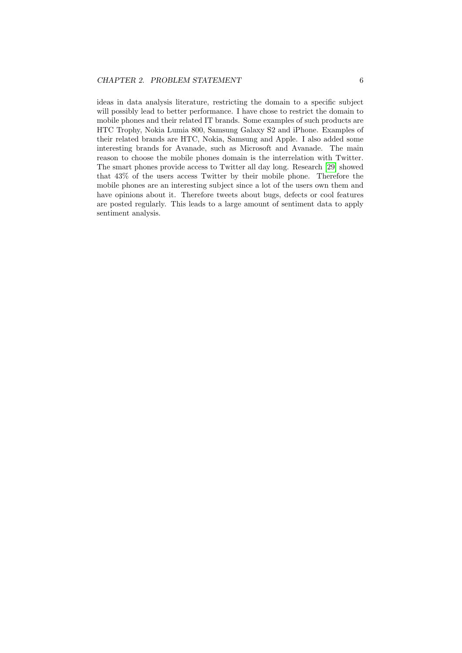ideas in data analysis literature, restricting the domain to a specific subject will possibly lead to better performance. I have chose to restrict the domain to mobile phones and their related IT brands. Some examples of such products are HTC Trophy, Nokia Lumia 800, Samsung Galaxy S2 and iPhone. Examples of their related brands are HTC, Nokia, Samsung and Apple. I also added some interesting brands for Avanade, such as Microsoft and Avanade. The main reason to choose the mobile phones domain is the interrelation with Twitter. The smart phones provide access to Twitter all day long. Research [\[29\]](#page-60-0) showed that 43% of the users access Twitter by their mobile phone. Therefore the mobile phones are an interesting subject since a lot of the users own them and have opinions about it. Therefore tweets about bugs, defects or cool features are posted regularly. This leads to a large amount of sentiment data to apply sentiment analysis.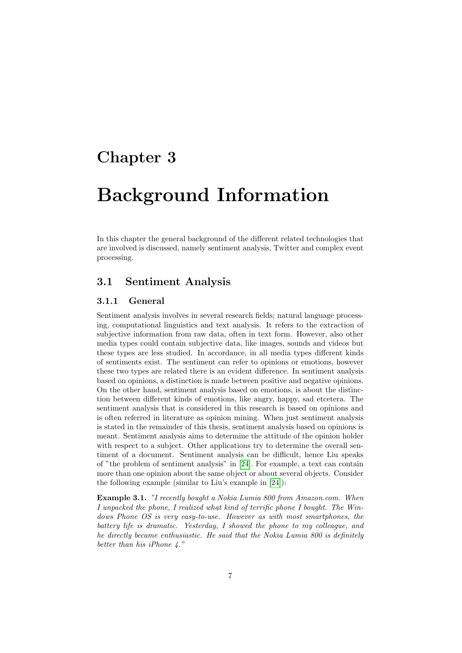## <span id="page-10-0"></span>Chapter 3

# Background Information

In this chapter the general background of the different related technologies that are involved is discussed, namely sentiment analysis, Twitter and complex event processing.

## <span id="page-10-1"></span>3.1 Sentiment Analysis

## 3.1.1 General

Sentiment analysis involves in several research fields; natural language processing, computational linguistics and text analysis. It refers to the extraction of subjective information from raw data, often in text form. However, also other media types could contain subjective data, like images, sounds and videos but these types are less studied. In accordance, in all media types different kinds of sentiments exist. The sentiment can refer to opinions or emotions, however these two types are related there is an evident difference. In sentiment analysis based on opinions, a distinction is made between positive and negative opinions. On the other hand, sentiment analysis based on emotions, is about the distinction between different kinds of emotions, like angry, happy, sad etcetera. The sentiment analysis that is considered in this research is based on opinions and is often referred in literature as opinion mining. When just sentiment analysis is stated in the remainder of this thesis, sentiment analysis based on opinions is meant. Sentiment analysis aims to determine the attitude of the opinion holder with respect to a subject. Other applications try to determine the overall sentiment of a document. Sentiment analysis can be difficult, hence Liu speaks of "the problem of sentiment analysis" in [\[24\]](#page-60-1). For example, a text can contain more than one opinion about the same object or about several objects. Consider the following example (similar to Liu's example in [\[24\]](#page-60-1)):

<span id="page-10-2"></span>Example 3.1. "I recently bought a Nokia Lumia 800 from Amazon.com. When I unpacked the phone, I realized what kind of terrific phone I bought. The Windows Phone OS is very easy-to-use. However as with most smartphones, the battery life is dramatic. Yesterday, I showed the phone to my colleague, and he directly became enthusiastic. He said that the Nokia Lumia 800 is definitely better than his iPhone 4."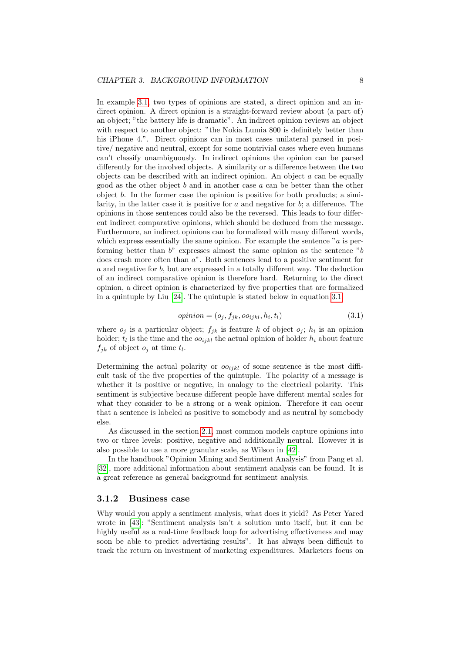In example [3.1,](#page-10-2) two types of opinions are stated, a direct opinion and an indirect opinion. A direct opinion is a straight-forward review about (a part of) an object; "the battery life is dramatic". An indirect opinion reviews an object with respect to another object: "the Nokia Lumia 800 is definitely better than his iPhone 4.". Direct opinions can in most cases unilateral parsed in positive/ negative and neutral, except for some nontrivial cases where even humans can't classify unambiguously. In indirect opinions the opinion can be parsed differently for the involved objects. A similarity or a difference between the two objects can be described with an indirect opinion. An object  $a$  can be equally good as the other object b and in another case  $a$  can be better than the other object  $b$ . In the former case the opinion is positive for both products; a similarity, in the latter case it is positive for  $a$  and negative for  $b$ ; a difference. The opinions in those sentences could also be the reversed. This leads to four different indirect comparative opinions, which should be deduced from the message. Furthermore, an indirect opinions can be formalized with many different words, which express essentially the same opinion. For example the sentence  $a$  is performing better than  $b^{\prime\prime}$  expresses almost the same opinion as the sentence  $^{\prime\prime}b$ does crash more often than a". Both sentences lead to a positive sentiment for a and negative for b, but are expressed in a totally different way. The deduction of an indirect comparative opinion is therefore hard. Returning to the direct opinion, a direct opinion is characterized by five properties that are formalized in a quintuple by Liu [\[24\]](#page-60-1). The quintuple is stated below in equation [3.1.](#page-11-0)

$$
opinion = (o_j, f_{jk}, oo_{ijkl}, h_i, t_l)
$$
\n(3.1)

<span id="page-11-0"></span>where  $o_j$  is a particular object;  $f_{jk}$  is feature k of object  $o_j$ ;  $h_i$  is an opinion holder;  $t_i$  is the time and the  $oo_{ijkl}$  the actual opinion of holder  $h_i$  about feature  $f_{jk}$  of object  $o_j$  at time  $t_l$ .

Determining the actual polarity or  $oo_{ijkl}$  of some sentence is the most difficult task of the five properties of the quintuple. The polarity of a message is whether it is positive or negative, in analogy to the electrical polarity. This sentiment is subjective because different people have different mental scales for what they consider to be a strong or a weak opinion. Therefore it can occur that a sentence is labeled as positive to somebody and as neutral by somebody else.

As discussed in the section [2.1,](#page-7-1) most common models capture opinions into two or three levels: positive, negative and additionally neutral. However it is also possible to use a more granular scale, as Wilson in [\[42\]](#page-61-1).

In the handbook "Opinion Mining and Sentiment Analysis" from Pang et al. [\[32\]](#page-61-2), more additional information about sentiment analysis can be found. It is a great reference as general background for sentiment analysis.

#### 3.1.2 Business case

Why would you apply a sentiment analysis, what does it yield? As Peter Yared wrote in [\[43\]](#page-61-3): "Sentiment analysis isn't a solution unto itself, but it can be highly useful as a real-time feedback loop for advertising effectiveness and may soon be able to predict advertising results". It has always been difficult to track the return on investment of marketing expenditures. Marketers focus on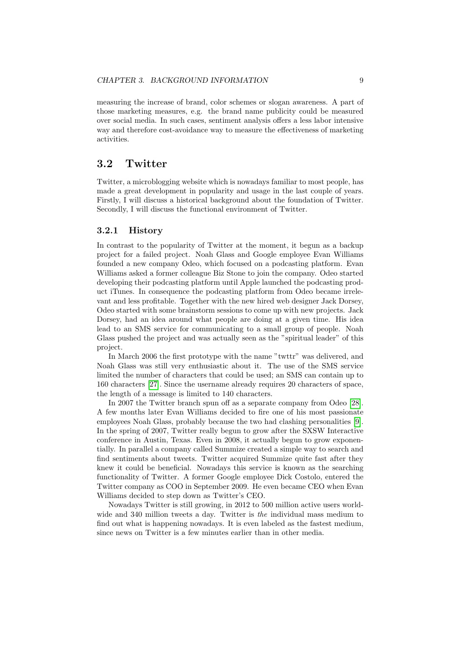measuring the increase of brand, color schemes or slogan awareness. A part of those marketing measures, e.g. the brand name publicity could be measured over social media. In such cases, sentiment analysis offers a less labor intensive way and therefore cost-avoidance way to measure the effectiveness of marketing activities.

## <span id="page-12-0"></span>3.2 Twitter

Twitter, a microblogging website which is nowadays familiar to most people, has made a great development in popularity and usage in the last couple of years. Firstly, I will discuss a historical background about the foundation of Twitter. Secondly, I will discuss the functional environment of Twitter.

### 3.2.1 History

In contrast to the popularity of Twitter at the moment, it begun as a backup project for a failed project. Noah Glass and Google employee Evan Williams founded a new company Odeo, which focused on a podcasting platform. Evan Williams asked a former colleague Biz Stone to join the company. Odeo started developing their podcasting platform until Apple launched the podcasting product iTunes. In consequence the podcasting platform from Odeo became irrelevant and less profitable. Together with the new hired web designer Jack Dorsey, Odeo started with some brainstorm sessions to come up with new projects. Jack Dorsey, had an idea around what people are doing at a given time. His idea lead to an SMS service for communicating to a small group of people. Noah Glass pushed the project and was actually seen as the "spiritual leader" of this project.

In March 2006 the first prototype with the name "twttr" was delivered, and Noah Glass was still very enthusiastic about it. The use of the SMS service limited the number of characters that could be used; an SMS can contain up to 160 characters [\[27\]](#page-60-2). Since the username already requires 20 characters of space, the length of a message is limited to 140 characters.

In 2007 the Twitter branch spun off as a separate company from Odeo [\[28\]](#page-60-3). A few months later Evan Williams decided to fire one of his most passionate employees Noah Glass, probably because the two had clashing personalities [\[9\]](#page-59-1). In the spring of 2007, Twitter really begun to grow after the SXSW Interactive conference in Austin, Texas. Even in 2008, it actually begun to grow exponentially. In parallel a company called Summize created a simple way to search and find sentiments about tweets. Twitter acquired Summize quite fast after they knew it could be beneficial. Nowadays this service is known as the searching functionality of Twitter. A former Google employee Dick Costolo, entered the Twitter company as COO in September 2009. He even became CEO when Evan Williams decided to step down as Twitter's CEO.

Nowadays Twitter is still growing, in 2012 to 500 million active users worldwide and 340 million tweets a day. Twitter is the individual mass medium to find out what is happening nowadays. It is even labeled as the fastest medium, since news on Twitter is a few minutes earlier than in other media.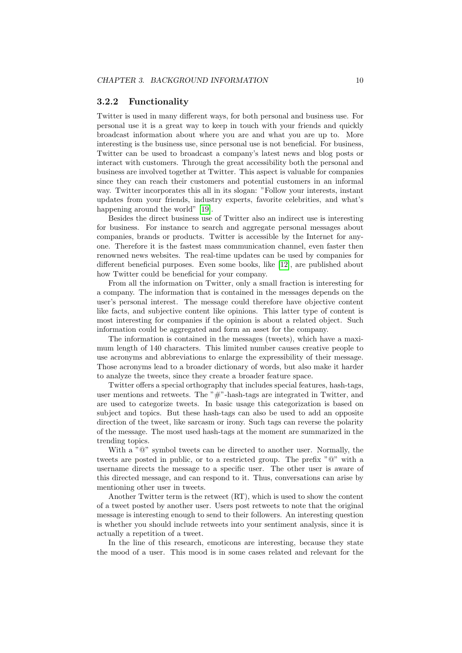### <span id="page-13-0"></span>3.2.2 Functionality

Twitter is used in many different ways, for both personal and business use. For personal use it is a great way to keep in touch with your friends and quickly broadcast information about where you are and what you are up to. More interesting is the business use, since personal use is not beneficial. For business, Twitter can be used to broadcast a company's latest news and blog posts or interact with customers. Through the great accessibility both the personal and business are involved together at Twitter. This aspect is valuable for companies since they can reach their customers and potential customers in an informal way. Twitter incorporates this all in its slogan: "Follow your interests, instant updates from your friends, industry experts, favorite celebrities, and what's happening around the world" [\[19\]](#page-60-4).

Besides the direct business use of Twitter also an indirect use is interesting for business. For instance to search and aggregate personal messages about companies, brands or products. Twitter is accessible by the Internet for anyone. Therefore it is the fastest mass communication channel, even faster then renowned news websites. The real-time updates can be used by companies for different beneficial purposes. Even some books, like [\[12\]](#page-59-2), are published about how Twitter could be beneficial for your company.

From all the information on Twitter, only a small fraction is interesting for a company. The information that is contained in the messages depends on the user's personal interest. The message could therefore have objective content like facts, and subjective content like opinions. This latter type of content is most interesting for companies if the opinion is about a related object. Such information could be aggregated and form an asset for the company.

The information is contained in the messages (tweets), which have a maximum length of 140 characters. This limited number causes creative people to use acronyms and abbreviations to enlarge the expressibility of their message. Those acronyms lead to a broader dictionary of words, but also make it harder to analyze the tweets, since they create a broader feature space.

Twitter offers a special orthography that includes special features, hash-tags, user mentions and retweets. The "#"-hash-tags are integrated in Twitter, and are used to categorize tweets. In basic usage this categorization is based on subject and topics. But these hash-tags can also be used to add an opposite direction of the tweet, like sarcasm or irony. Such tags can reverse the polarity of the message. The most used hash-tags at the moment are summarized in the trending topics.

With a " $\mathbb{Q}$ " symbol tweets can be directed to another user. Normally, the tweets are posted in public, or to a restricted group. The prefix "@" with a username directs the message to a specific user. The other user is aware of this directed message, and can respond to it. Thus, conversations can arise by mentioning other user in tweets.

Another Twitter term is the retweet (RT), which is used to show the content of a tweet posted by another user. Users post retweets to note that the original message is interesting enough to send to their followers. An interesting question is whether you should include retweets into your sentiment analysis, since it is actually a repetition of a tweet.

In the line of this research, emoticons are interesting, because they state the mood of a user. This mood is in some cases related and relevant for the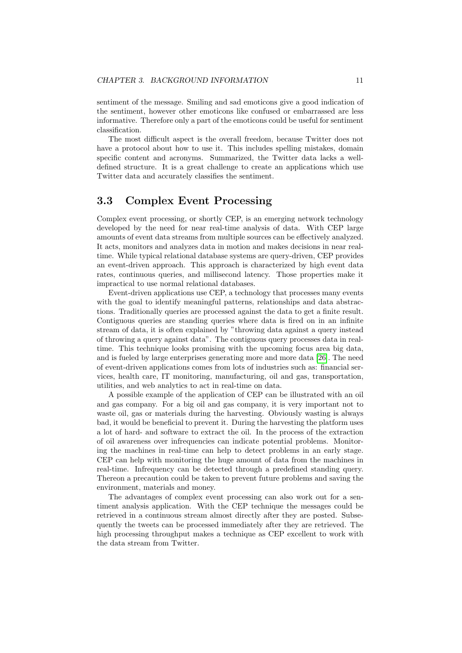sentiment of the message. Smiling and sad emoticons give a good indication of the sentiment, however other emoticons like confused or embarrassed are less informative. Therefore only a part of the emoticons could be useful for sentiment classification.

The most difficult aspect is the overall freedom, because Twitter does not have a protocol about how to use it. This includes spelling mistakes, domain specific content and acronyms. Summarized, the Twitter data lacks a welldefined structure. It is a great challenge to create an applications which use Twitter data and accurately classifies the sentiment.

## <span id="page-14-0"></span>3.3 Complex Event Processing

Complex event processing, or shortly CEP, is an emerging network technology developed by the need for near real-time analysis of data. With CEP large amounts of event data streams from multiple sources can be effectively analyzed. It acts, monitors and analyzes data in motion and makes decisions in near realtime. While typical relational database systems are query-driven, CEP provides an event-driven approach. This approach is characterized by high event data rates, continuous queries, and millisecond latency. Those properties make it impractical to use normal relational databases.

Event-driven applications use CEP, a technology that processes many events with the goal to identify meaningful patterns, relationships and data abstractions. Traditionally queries are processed against the data to get a finite result. Contiguous queries are standing queries where data is fired on in an infinite stream of data, it is often explained by "throwing data against a query instead of throwing a query against data". The contiguous query processes data in realtime. This technique looks promising with the upcoming focus area big data, and is fueled by large enterprises generating more and more data [\[26\]](#page-60-5). The need of event-driven applications comes from lots of industries such as: financial services, health care, IT monitoring, manufacturing, oil and gas, transportation, utilities, and web analytics to act in real-time on data.

A possible example of the application of CEP can be illustrated with an oil and gas company. For a big oil and gas company, it is very important not to waste oil, gas or materials during the harvesting. Obviously wasting is always bad, it would be beneficial to prevent it. During the harvesting the platform uses a lot of hard- and software to extract the oil. In the process of the extraction of oil awareness over infrequencies can indicate potential problems. Monitoring the machines in real-time can help to detect problems in an early stage. CEP can help with monitoring the huge amount of data from the machines in real-time. Infrequency can be detected through a predefined standing query. Thereon a precaution could be taken to prevent future problems and saving the environment, materials and money.

The advantages of complex event processing can also work out for a sentiment analysis application. With the CEP technique the messages could be retrieved in a continuous stream almost directly after they are posted. Subsequently the tweets can be processed immediately after they are retrieved. The high processing throughput makes a technique as CEP excellent to work with the data stream from Twitter.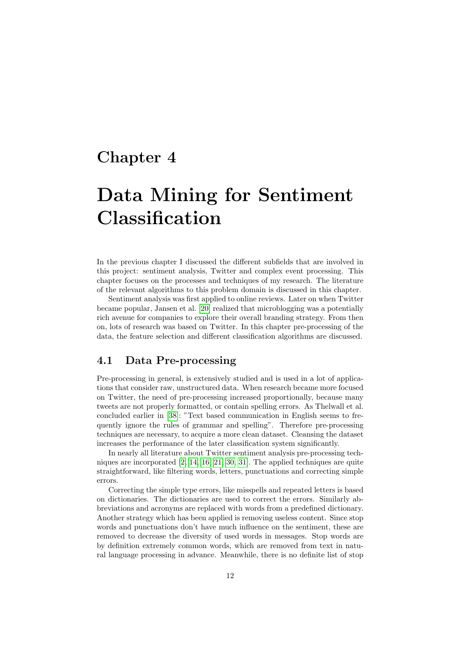## <span id="page-15-0"></span>Chapter 4

# Data Mining for Sentiment Classification

In the previous chapter I discussed the different subfields that are involved in this project: sentiment analysis, Twitter and complex event processing. This chapter focuses on the processes and techniques of my research. The literature of the relevant algorithms to this problem domain is discussed in this chapter.

Sentiment analysis was first applied to online reviews. Later on when Twitter became popular, Jansen et al. [\[20\]](#page-60-6) realized that microblogging was a potentially rich avenue for companies to explore their overall branding strategy. From then on, lots of research was based on Twitter. In this chapter pre-processing of the data, the feature selection and different classification algorithms are discussed.

## <span id="page-15-1"></span>4.1 Data Pre-processing

Pre-processing in general, is extensively studied and is used in a lot of applications that consider raw, unstructured data. When research became more focused on Twitter, the need of pre-processing increased proportionally, because many tweets are not properly formatted, or contain spelling errors. As Thelwall et al. concluded earlier in [\[38\]](#page-61-4): "Text based communication in English seems to frequently ignore the rules of grammar and spelling". Therefore pre-processing techniques are necessary, to acquire a more clean dataset. Cleansing the dataset increases the performance of the later classification system significantly.

In nearly all literature about Twitter sentiment analysis pre-processing techniques are incorporated [\[2,](#page-59-3) [14,](#page-60-7) [16,](#page-60-8) [21,](#page-60-9) [30,](#page-61-5) [31\]](#page-61-6). The applied techniques are quite straightforward, like filtering words, letters, punctuations and correcting simple errors.

Correcting the simple type errors, like misspells and repeated letters is based on dictionaries. The dictionaries are used to correct the errors. Similarly abbreviations and acronyms are replaced with words from a predefined dictionary. Another strategy which has been applied is removing useless content. Since stop words and punctuations don't have much influence on the sentiment, these are removed to decrease the diversity of used words in messages. Stop words are by definition extremely common words, which are removed from text in natural language processing in advance. Meanwhile, there is no definite list of stop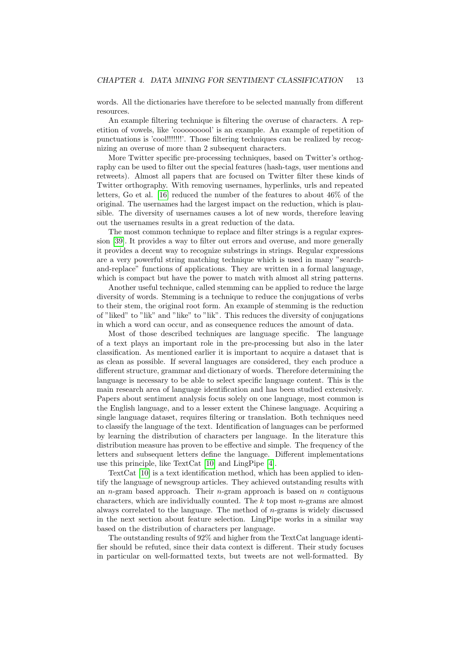words. All the dictionaries have therefore to be selected manually from different resources.

An example filtering technique is filtering the overuse of characters. A repetition of vowels, like 'cooooooool' is an example. An example of repetition of punctuations is 'cool!!!!!!!'. Those filtering techniques can be realized by recognizing an overuse of more than 2 subsequent characters.

More Twitter specific pre-processing techniques, based on Twitter's orthography can be used to filter out the special features (hash-tags, user mentions and retweets). Almost all papers that are focused on Twitter filter these kinds of Twitter orthography. With removing usernames, hyperlinks, urls and repeated letters, Go et al. [\[16\]](#page-60-8) reduced the number of the features to about 46% of the original. The usernames had the largest impact on the reduction, which is plausible. The diversity of usernames causes a lot of new words, therefore leaving out the usernames results in a great reduction of the data.

The most common technique to replace and filter strings is a regular expression [\[39\]](#page-61-7). It provides a way to filter out errors and overuse, and more generally it provides a decent way to recognize substrings in strings. Regular expressions are a very powerful string matching technique which is used in many "searchand-replace" functions of applications. They are written in a formal language, which is compact but have the power to match with almost all string patterns.

Another useful technique, called stemming can be applied to reduce the large diversity of words. Stemming is a technique to reduce the conjugations of verbs to their stem, the original root form. An example of stemming is the reduction of "liked" to "lik" and "like" to "lik". This reduces the diversity of conjugations in which a word can occur, and as consequence reduces the amount of data.

Most of those described techniques are language specific. The language of a text plays an important role in the pre-processing but also in the later classification. As mentioned earlier it is important to acquire a dataset that is as clean as possible. If several languages are considered, they each produce a different structure, grammar and dictionary of words. Therefore determining the language is necessary to be able to select specific language content. This is the main research area of language identification and has been studied extensively. Papers about sentiment analysis focus solely on one language, most common is the English language, and to a lesser extent the Chinese language. Acquiring a single language dataset, requires filtering or translation. Both techniques need to classify the language of the text. Identification of languages can be performed by learning the distribution of characters per language. In the literature this distribution measure has proven to be effective and simple. The frequency of the letters and subsequent letters define the language. Different implementations use this principle, like TextCat [\[10\]](#page-59-4) and LingPipe [\[4\]](#page-59-5).

TextCat [\[10\]](#page-59-4) is a text identification method, which has been applied to identify the language of newsgroup articles. They achieved outstanding results with an *n*-gram based approach. Their *n*-gram approach is based on *n* contiguous characters, which are individually counted. The  $k$  top most  $n$ -grams are almost always correlated to the language. The method of  $n$ -grams is widely discussed in the next section about feature selection. LingPipe works in a similar way based on the distribution of characters per language.

The outstanding results of 92% and higher from the TextCat language identifier should be refuted, since their data context is different. Their study focuses in particular on well-formatted texts, but tweets are not well-formatted. By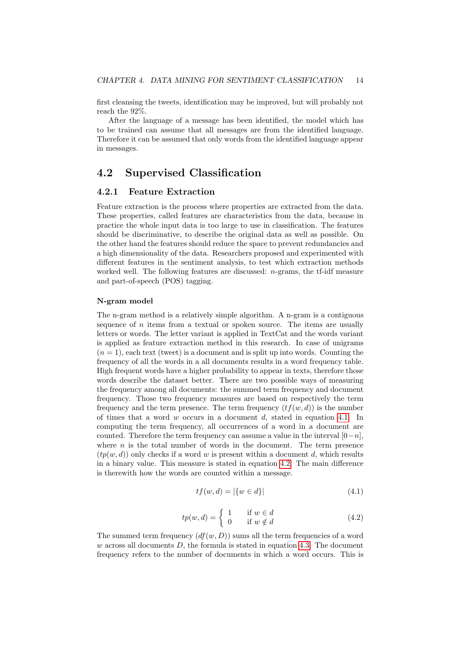first cleansing the tweets, identification may be improved, but will probably not reach the 92%.

After the language of a message has been identified, the model which has to be trained can assume that all messages are from the identified language. Therefore it can be assumed that only words from the identified language appear in messages.

## <span id="page-17-0"></span>4.2 Supervised Classification

### 4.2.1 Feature Extraction

Feature extraction is the process where properties are extracted from the data. These properties, called features are characteristics from the data, because in practice the whole input data is too large to use in classification. The features should be discriminative, to describe the original data as well as possible. On the other hand the features should reduce the space to prevent redundancies and a high dimensionality of the data. Researchers proposed and experimented with different features in the sentiment analysis, to test which extraction methods worked well. The following features are discussed: n-grams, the tf-idf measure and part-of-speech (POS) tagging.

#### <span id="page-17-3"></span>N-gram model

The n-gram method is a relatively simple algorithm. A n-gram is a contiguous sequence of n items from a textual or spoken source. The items are usually letters or words. The letter variant is applied in TextCat and the words variant is applied as feature extraction method in this research. In case of unigrams  $(n = 1)$ , each text (tweet) is a document and is split up into words. Counting the frequency of all the words in a all documents results in a word frequency table. High frequent words have a higher probability to appear in texts, therefore those words describe the dataset better. There are two possible ways of measuring the frequency among all documents: the summed term frequency and document frequency. Those two frequency measures are based on respectively the term frequency and the term presence. The term frequency  $(tf(w, d))$  is the number of times that a word w occurs in a document  $d$ , stated in equation [4.1.](#page-17-1) In computing the term frequency, all occurrences of a word in a document are counted. Therefore the term frequency can assume a value in the interval  $[0-n]$ , where  $n$  is the total number of words in the document. The term presence  $(tp(w, d))$  only checks if a word w is present within a document d, which results in a binary value. This measure is stated in equation [4.2.](#page-17-2) The main difference is therewith how the words are counted within a message.

$$
tf(w,d) = |\{w \in d\}| \tag{4.1}
$$

$$
tp(w,d) = \begin{cases} 1 & \text{if } w \in d \\ 0 & \text{if } w \notin d \end{cases}
$$
 (4.2)

<span id="page-17-2"></span><span id="page-17-1"></span>The summed term frequency  $(df(w, D))$  sums all the term frequencies of a word  $w$  across all documents  $D$ , the formula is stated in equation [4.3.](#page-18-0) The document frequency refers to the number of documents in which a word occurs. This is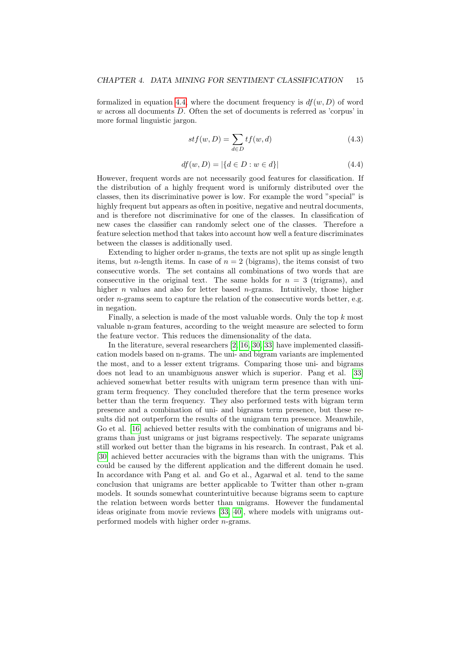<span id="page-18-0"></span>formalized in equation [4.4,](#page-18-1) where the document frequency is  $df(w, D)$  of word w across all documents D. Often the set of documents is referred as 'corpus' in more formal linguistic jargon.

$$
stf(w, D) = \sum_{d \in D} tf(w, d)
$$
\n(4.3)

$$
df(w, D) = |\{d \in D : w \in d\}| \tag{4.4}
$$

<span id="page-18-1"></span>However, frequent words are not necessarily good features for classification. If the distribution of a highly frequent word is uniformly distributed over the classes, then its discriminative power is low. For example the word "special" is highly frequent but appears as often in positive, negative and neutral documents, and is therefore not discriminative for one of the classes. In classification of new cases the classifier can randomly select one of the classes. Therefore a feature selection method that takes into account how well a feature discriminates between the classes is additionally used.

Extending to higher order n-grams, the texts are not split up as single length items, but *n*-length items. In case of  $n = 2$  (bigrams), the items consist of two consecutive words. The set contains all combinations of two words that are consecutive in the original text. The same holds for  $n = 3$  (trigrams), and higher *n* values and also for letter based *n*-grams. Intuitively, those higher order n-grams seem to capture the relation of the consecutive words better, e.g. in negation.

Finally, a selection is made of the most valuable words. Only the top  $k$  most valuable n-gram features, according to the weight measure are selected to form the feature vector. This reduces the dimensionality of the data.

In the literature, several researchers [\[2,](#page-59-3) [16,](#page-60-8) [30,](#page-61-5) [33\]](#page-61-8) have implemented classification models based on n-grams. The uni- and bigram variants are implemented the most, and to a lesser extent trigrams. Comparing those uni- and bigrams does not lead to an unambiguous answer which is superior. Pang et al. [\[33\]](#page-61-8) achieved somewhat better results with unigram term presence than with unigram term frequency. They concluded therefore that the term presence works better than the term frequency. They also performed tests with bigram term presence and a combination of uni- and bigrams term presence, but these results did not outperform the results of the unigram term presence. Meanwhile, Go et al. [\[16\]](#page-60-8) achieved better results with the combination of unigrams and bigrams than just unigrams or just bigrams respectively. The separate unigrams still worked out better than the bigrams in his research. In contrast, Pak et al. [\[30\]](#page-61-5) achieved better accuracies with the bigrams than with the unigrams. This could be caused by the different application and the different domain he used. In accordance with Pang et al. and Go et al., Agarwal et al. tend to the same conclusion that unigrams are better applicable to Twitter than other n-gram models. It sounds somewhat counterintuitive because bigrams seem to capture the relation between words better than unigrams. However the fundamental ideas originate from movie reviews [\[33,](#page-61-8) [40\]](#page-61-9), where models with unigrams outperformed models with higher order n-grams.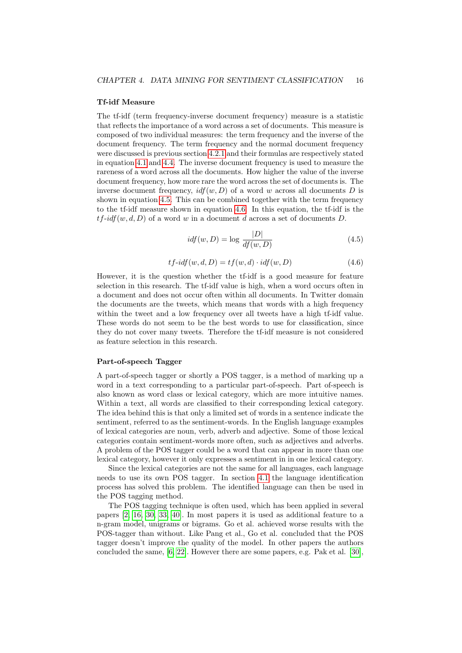#### <span id="page-19-2"></span>Tf-idf Measure

The tf-idf (term frequency-inverse document frequency) measure is a statistic that reflects the importance of a word across a set of documents. This measure is composed of two individual measures: the term frequency and the inverse of the document frequency. The term frequency and the normal document frequency were discussed is previous section [4.2.1](#page-17-3) and their formulas are respectively stated in equation [4.1](#page-17-1) and [4.4.](#page-18-1) The inverse document frequency is used to measure the rareness of a word across all the documents. How higher the value of the inverse document frequency, how more rare the word across the set of documents is. The inverse document frequency,  $\textit{id} f(w, D)$  of a word w across all documents D is shown in equation [4.5.](#page-19-0) This can be combined together with the term frequency to the tf-idf measure shown in equation [4.6.](#page-19-1) In this equation, the tf-idf is the  $tf-idf(w, d, D)$  of a word w in a document d across a set of documents D.

$$
idf(w, D) = \log \frac{|D|}{df(w, D)}
$$
\n(4.5)

$$
tf-idf(w, d, D) = tf(w, d) \cdot idf(w, D)
$$
\n
$$
(4.6)
$$

<span id="page-19-1"></span><span id="page-19-0"></span>However, it is the question whether the tf-idf is a good measure for feature selection in this research. The tf-idf value is high, when a word occurs often in a document and does not occur often within all documents. In Twitter domain the documents are the tweets, which means that words with a high frequency within the tweet and a low frequency over all tweets have a high tf-idf value. These words do not seem to be the best words to use for classification, since they do not cover many tweets. Therefore the tf-idf measure is not considered as feature selection in this research.

#### <span id="page-19-3"></span>Part-of-speech Tagger

A part-of-speech tagger or shortly a POS tagger, is a method of marking up a word in a text corresponding to a particular part-of-speech. Part of-speech is also known as word class or lexical category, which are more intuitive names. Within a text, all words are classified to their corresponding lexical category. The idea behind this is that only a limited set of words in a sentence indicate the sentiment, referred to as the sentiment-words. In the English language examples of lexical categories are noun, verb, adverb and adjective. Some of those lexical categories contain sentiment-words more often, such as adjectives and adverbs. A problem of the POS tagger could be a word that can appear in more than one lexical category, however it only expresses a sentiment in in one lexical category.

Since the lexical categories are not the same for all languages, each language needs to use its own POS tagger. In section [4.1](#page-15-1) the language identification process has solved this problem. The identified language can then be used in the POS tagging method.

The POS tagging technique is often used, which has been applied in several papers [\[2,](#page-59-3) [16,](#page-60-8) [30,](#page-61-5) [33,](#page-61-8) [40\]](#page-61-9). In most papers it is used as additional feature to a n-gram model, unigrams or bigrams. Go et al. achieved worse results with the POS-tagger than without. Like Pang et al., Go et al. concluded that the POS tagger doesn't improve the quality of the model. In other papers the authors concluded the same, [\[6,](#page-59-6) [22\]](#page-60-10). However there are some papers, e.g. Pak et al. [\[30\]](#page-61-5),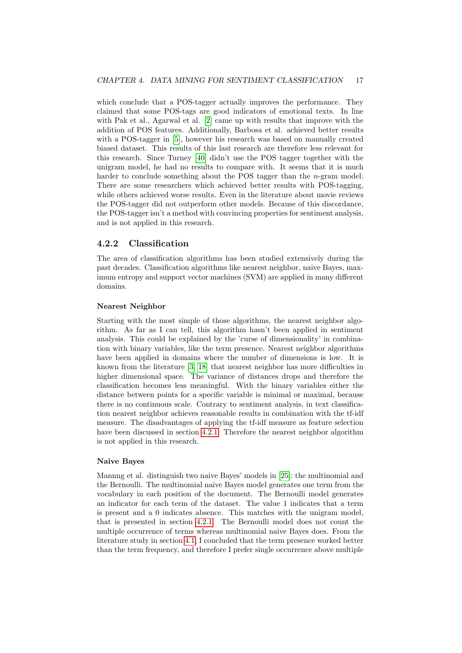which conclude that a POS-tagger actually improves the performance. They claimed that some POS-tags are good indicators of emotional texts. In line with Pak et al., Agarwal et al. [\[2\]](#page-59-3) came up with results that improve with the addition of POS features. Additionally, Barbosa et al. achieved better results with a POS-tagger in [\[5\]](#page-59-7), however his research was based on manually created biased dataset. This results of this last research are therefore less relevant for this research. Since Turney [\[40\]](#page-61-9) didn't use the POS tagger together with the unigram model, he had no results to compare with. It seems that it is much harder to conclude something about the POS tagger than the  $n$ -gram model. There are some researchers which achieved better results with POS-tagging, while others achieved worse results. Even in the literature about movie reviews the POS-tagger did not outperform other models. Because of this discordance, the POS-tagger isn't a method with convincing properties for sentiment analysis, and is not applied in this research.

### 4.2.2 Classification

The area of classification algorithms has been studied extensively during the past decades. Classification algorithms like nearest neighbor, naive Bayes, maximum entropy and support vector machines (SVM) are applied in many different domains.

#### Nearest Neighbor

Starting with the most simple of those algorithms, the nearest neighbor algorithm. As far as I can tell, this algorithm hasn't been applied in sentiment analysis. This could be explained by the 'curse of dimensionality' in combination with binary variables, like the term presence. Nearest neighbor algorithms have been applied in domains where the number of dimensions is low. It is known from the literature [\[3,](#page-59-8) [18\]](#page-60-11) that nearest neighbor has more difficulties in higher dimensional space. The variance of distances drops and therefore the classification becomes less meaningful. With the binary variables either the distance between points for a specific variable is minimal or maximal, because there is no continuous scale. Contrary to sentiment analysis, in text classification nearest neighbor achieves reasonable results in combination with the tf-idf measure. The disadvantages of applying the tf-idf measure as feature selection have been discussed in section [4.2.1.](#page-19-2) Therefore the nearest neighbor algorithm is not applied in this research.

#### Naive Bayes

Mannng et al. distinguish two naive Bayes' models in [\[25\]](#page-60-12): the multinomial and the Bernoulli. The multinomial naive Bayes model generates one term from the vocabulary in each position of the document. The Bernoulli model generates an indicator for each term of the dataset. The value 1 indicates that a term is present and a 0 indicates absence. This matches with the unigram model, that is presented in section [4.2.1.](#page-17-3) The Bernoulli model does not count the multiple occurrence of terms whereas multinomial naive Bayes does. From the literature study in section [4.1,](#page-15-1) I concluded that the term presence worked better than the term frequency, and therefore I prefer single occurrence above multiple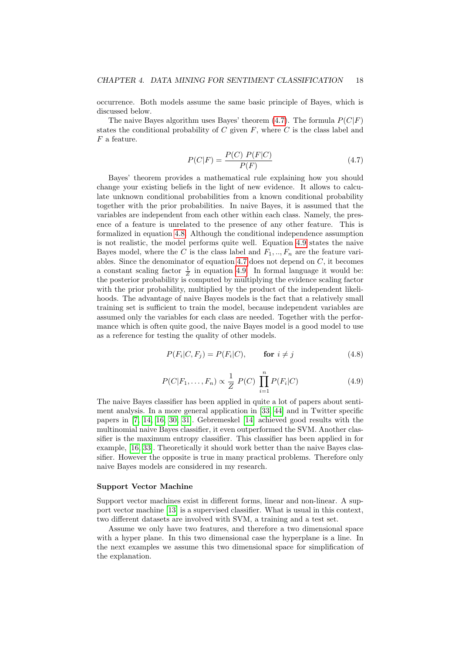occurrence. Both models assume the same basic principle of Bayes, which is discussed below.

<span id="page-21-0"></span>The naive Bayes algorithm uses Bayes' theorem  $(4.7)$ . The formula  $P(C|F)$ states the conditional probability of  $C$  given  $F$ , where  $C$  is the class label and  $F$  a feature.

$$
P(C|F) = \frac{P(C) \ P(F|C)}{P(F)} \tag{4.7}
$$

Bayes' theorem provides a mathematical rule explaining how you should change your existing beliefs in the light of new evidence. It allows to calculate unknown conditional probabilities from a known conditional probability together with the prior probabilities. In naive Bayes, it is assumed that the variables are independent from each other within each class. Namely, the presence of a feature is unrelated to the presence of any other feature. This is formalized in equation [4.8.](#page-21-1) Although the conditional independence assumption is not realistic, the model performs quite well. Equation [4.9](#page-21-2) states the naive Bayes model, where the C is the class label and  $F_1, ..., F_n$  are the feature vari-ables. Since the denominator of equation [4.7](#page-21-0) does not depend on  $C$ , it becomes a constant scaling factor  $\frac{1}{Z}$  in equation [4.9.](#page-21-2) In formal language it would be: the posterior probability is computed by multiplying the evidence scaling factor with the prior probability, multiplied by the product of the independent likelihoods. The advantage of naive Bayes models is the fact that a relatively small training set is sufficient to train the model, because independent variables are assumed only the variables for each class are needed. Together with the performance which is often quite good, the naive Bayes model is a good model to use as a reference for testing the quality of other models.

$$
P(F_i|C, F_j) = P(F_i|C), \qquad \text{for } i \neq j \tag{4.8}
$$

$$
P(C|F_1, ..., F_n) \propto \frac{1}{Z} \ P(C) \ \prod_{i=1}^n P(F_i|C) \tag{4.9}
$$

<span id="page-21-2"></span><span id="page-21-1"></span>The naive Bayes classifier has been applied in quite a lot of papers about sentiment analysis. In a more general application in [\[33,](#page-61-8) [44\]](#page-62-0) and in Twitter specific papers in [\[7,](#page-59-9) [14,](#page-60-7) [16,](#page-60-8) [30,](#page-61-5) [31\]](#page-61-6). Gebremeskel [\[14\]](#page-60-7) achieved good results with the multinomial naive Bayes classifier, it even outperformed the SVM. Another classifier is the maximum entropy classifier. This classifier has been applied in for example, [\[16,](#page-60-8) [33\]](#page-61-8). Theoretically it should work better than the naive Bayes classifier. However the opposite is true in many practical problems. Therefore only naive Bayes models are considered in my research.

#### Support Vector Machine

Support vector machines exist in different forms, linear and non-linear. A support vector machine [\[13\]](#page-59-10) is a supervised classifier. What is usual in this context, two different datasets are involved with SVM, a training and a test set.

Assume we only have two features, and therefore a two dimensional space with a hyper plane. In this two dimensional case the hyperplane is a line. In the next examples we assume this two dimensional space for simplification of the explanation.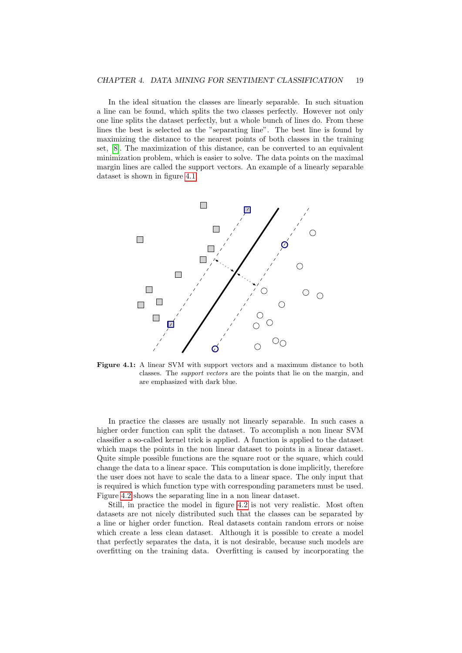In the ideal situation the classes are linearly separable. In such situation a line can be found, which splits the two classes perfectly. However not only one line splits the dataset perfectly, but a whole bunch of lines do. From these lines the best is selected as the "separating line". The best line is found by maximizing the distance to the nearest points of both classes in the training set, [\[8\]](#page-59-11). The maximization of this distance, can be converted to an equivalent minimization problem, which is easier to solve. The data points on the maximal margin lines are called the support vectors. An example of a linearly separable dataset is shown in figure [4.1.](#page-22-0)

<span id="page-22-0"></span>

Figure 4.1: A linear SVM with support vectors and a maximum distance to both classes. The support vectors are the points that lie on the margin, and are emphasized with dark blue.

In practice the classes are usually not linearly separable. In such cases a higher order function can split the dataset. To accomplish a non linear SVM classifier a so-called kernel trick is applied. A function is applied to the dataset which maps the points in the non linear dataset to points in a linear dataset. Quite simple possible functions are the square root or the square, which could change the data to a linear space. This computation is done implicitly, therefore the user does not have to scale the data to a linear space. The only input that is required is which function type with corresponding parameters must be used. Figure [4.2](#page-23-0) shows the separating line in a non linear dataset.

Still, in practice the model in figure [4.2](#page-23-0) is not very realistic. Most often datasets are not nicely distributed such that the classes can be separated by a line or higher order function. Real datasets contain random errors or noise which create a less clean dataset. Although it is possible to create a model that perfectly separates the data, it is not desirable, because such models are overfitting on the training data. Overfitting is caused by incorporating the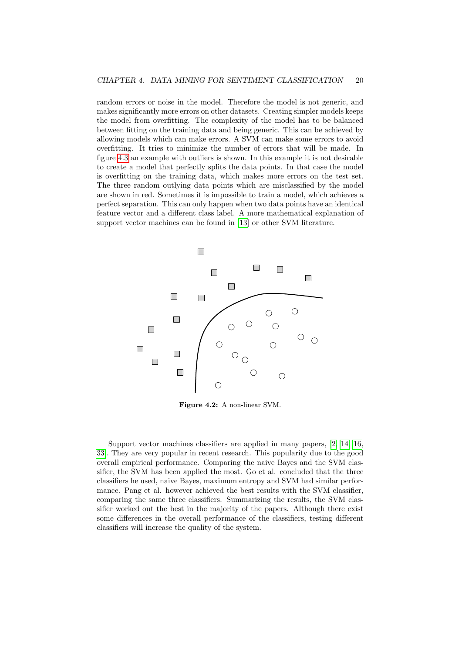random errors or noise in the model. Therefore the model is not generic, and makes significantly more errors on other datasets. Creating simpler models keeps the model from overfitting. The complexity of the model has to be balanced between fitting on the training data and being generic. This can be achieved by allowing models which can make errors. A SVM can make some errors to avoid overfitting. It tries to minimize the number of errors that will be made. In figure [4.3](#page-24-1) an example with outliers is shown. In this example it is not desirable to create a model that perfectly splits the data points. In that case the model is overfitting on the training data, which makes more errors on the test set. The three random outlying data points which are misclassified by the model are shown in red. Sometimes it is impossible to train a model, which achieves a perfect separation. This can only happen when two data points have an identical feature vector and a different class label. A more mathematical explanation of support vector machines can be found in [\[13\]](#page-59-10) or other SVM literature.

<span id="page-23-0"></span>

Figure 4.2: A non-linear SVM.

Support vector machines classifiers are applied in many papers, [\[2,](#page-59-3) [14,](#page-60-7) [16,](#page-60-8) [33\]](#page-61-8). They are very popular in recent research. This popularity due to the good overall empirical performance. Comparing the naive Bayes and the SVM classifier, the SVM has been applied the most. Go et al. concluded that the three classifiers he used, naive Bayes, maximum entropy and SVM had similar performance. Pang et al. however achieved the best results with the SVM classifier, comparing the same three classifiers. Summarizing the results, the SVM classifier worked out the best in the majority of the papers. Although there exist some differences in the overall performance of the classifiers, testing different classifiers will increase the quality of the system.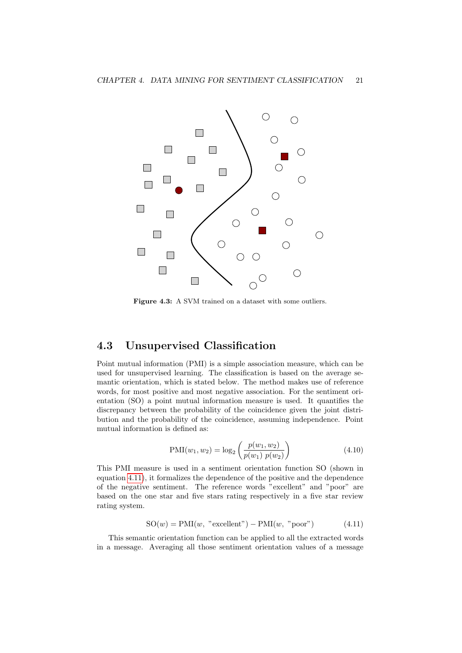<span id="page-24-1"></span>

Figure 4.3: A SVM trained on a dataset with some outliers.

## <span id="page-24-0"></span>4.3 Unsupervised Classification

Point mutual information (PMI) is a simple association measure, which can be used for unsupervised learning. The classification is based on the average semantic orientation, which is stated below. The method makes use of reference words, for most positive and most negative association. For the sentiment orientation (SO) a point mutual information measure is used. It quantifies the discrepancy between the probability of the coincidence given the joint distribution and the probability of the coincidence, assuming independence. Point mutual information is defined as:

$$
PMI(w_1, w_2) = \log_2\left(\frac{p(w_1, w_2)}{p(w_1) p(w_2)}\right)
$$
\n(4.10)

This PMI measure is used in a sentiment orientation function SO (shown in equation [4.11\)](#page-24-2), it formalizes the dependence of the positive and the dependence of the negative sentiment. The reference words "excellent" and "poor" are based on the one star and five stars rating respectively in a five star review rating system.

$$
SO(w) = PMI(w, "excellent") - PMI(w, "poor")
$$
 (4.11)

<span id="page-24-2"></span>This semantic orientation function can be applied to all the extracted words in a message. Averaging all those sentiment orientation values of a message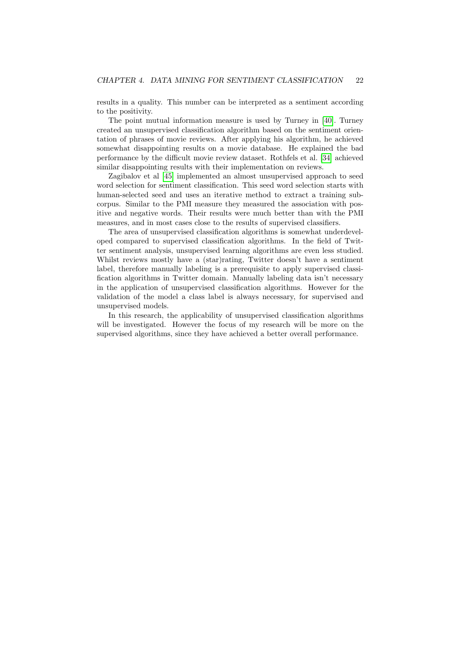results in a quality. This number can be interpreted as a sentiment according to the positivity.

The point mutual information measure is used by Turney in [\[40\]](#page-61-9). Turney created an unsupervised classification algorithm based on the sentiment orientation of phrases of movie reviews. After applying his algorithm, he achieved somewhat disappointing results on a movie database. He explained the bad performance by the difficult movie review dataset. Rothfels et al. [\[34\]](#page-61-10) achieved similar disappointing results with their implementation on reviews.

Zagibalov et al [\[45\]](#page-62-1) implemented an almost unsupervised approach to seed word selection for sentiment classification. This seed word selection starts with human-selected seed and uses an iterative method to extract a training subcorpus. Similar to the PMI measure they measured the association with positive and negative words. Their results were much better than with the PMI measures, and in most cases close to the results of supervised classifiers.

The area of unsupervised classification algorithms is somewhat underdeveloped compared to supervised classification algorithms. In the field of Twitter sentiment analysis, unsupervised learning algorithms are even less studied. Whilst reviews mostly have a (star)rating, Twitter doesn't have a sentiment label, therefore manually labeling is a prerequisite to apply supervised classification algorithms in Twitter domain. Manually labeling data isn't necessary in the application of unsupervised classification algorithms. However for the validation of the model a class label is always necessary, for supervised and unsupervised models.

In this research, the applicability of unsupervised classification algorithms will be investigated. However the focus of my research will be more on the supervised algorithms, since they have achieved a better overall performance.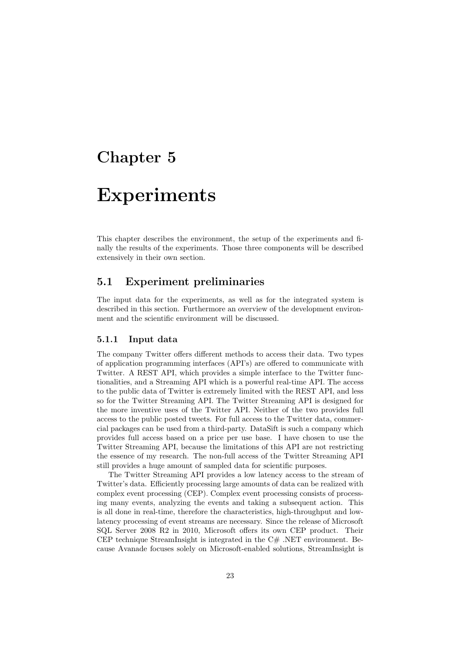## <span id="page-26-0"></span>Chapter 5

## Experiments

This chapter describes the environment, the setup of the experiments and finally the results of the experiments. Those three components will be described extensively in their own section.

## <span id="page-26-1"></span>5.1 Experiment preliminaries

The input data for the experiments, as well as for the integrated system is described in this section. Furthermore an overview of the development environment and the scientific environment will be discussed.

### <span id="page-26-2"></span>5.1.1 Input data

The company Twitter offers different methods to access their data. Two types of application programming interfaces (API's) are offered to communicate with Twitter. A REST API, which provides a simple interface to the Twitter functionalities, and a Streaming API which is a powerful real-time API. The access to the public data of Twitter is extremely limited with the REST API, and less so for the Twitter Streaming API. The Twitter Streaming API is designed for the more inventive uses of the Twitter API. Neither of the two provides full access to the public posted tweets. For full access to the Twitter data, commercial packages can be used from a third-party. DataSift is such a company which provides full access based on a price per use base. I have chosen to use the Twitter Streaming API, because the limitations of this API are not restricting the essence of my research. The non-full access of the Twitter Streaming API still provides a huge amount of sampled data for scientific purposes.

The Twitter Streaming API provides a low latency access to the stream of Twitter's data. Efficiently processing large amounts of data can be realized with complex event processing (CEP). Complex event processing consists of processing many events, analyzing the events and taking a subsequent action. This is all done in real-time, therefore the characteristics, high-throughput and lowlatency processing of event streams are necessary. Since the release of Microsoft SQL Server 2008 R2 in 2010, Microsoft offers its own CEP product. Their CEP technique StreamInsight is integrated in the  $C#$ . NET environment. Because Avanade focuses solely on Microsoft-enabled solutions, StreamInsight is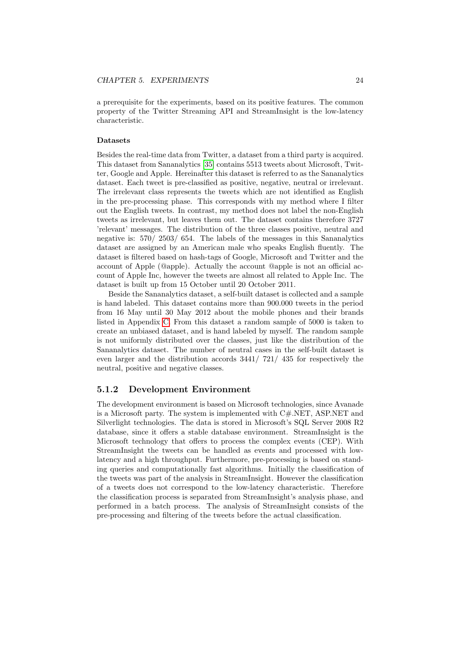a prerequisite for the experiments, based on its positive features. The common property of the Twitter Streaming API and StreamInsight is the low-latency characteristic.

#### Datasets

Besides the real-time data from Twitter, a dataset from a third party is acquired. This dataset from Sananalytics [\[35\]](#page-61-11) contains 5513 tweets about Microsoft, Twitter, Google and Apple. Hereinafter this dataset is referred to as the Sananalytics dataset. Each tweet is pre-classified as positive, negative, neutral or irrelevant. The irrelevant class represents the tweets which are not identified as English in the pre-processing phase. This corresponds with my method where I filter out the English tweets. In contrast, my method does not label the non-English tweets as irrelevant, but leaves them out. The dataset contains therefore 3727 'relevant' messages. The distribution of the three classes positive, neutral and negative is: 570/ 2503/ 654. The labels of the messages in this Sananalytics dataset are assigned by an American male who speaks English fluently. The dataset is filtered based on hash-tags of Google, Microsoft and Twitter and the account of Apple (@apple). Actually the account @apple is not an official account of Apple Inc, however the tweets are almost all related to Apple Inc. The dataset is built up from 15 October until 20 October 2011.

Beside the Sananalytics dataset, a self-built dataset is collected and a sample is hand labeled. This dataset contains more than 900.000 tweets in the period from 16 May until 30 May 2012 about the mobile phones and their brands listed in Appendix [C.](#page-54-0) From this dataset a random sample of 5000 is taken to create an unbiased dataset, and is hand labeled by myself. The random sample is not uniformly distributed over the classes, just like the distribution of the Sananalytics dataset. The number of neutral cases in the self-built dataset is even larger and the distribution accords 3441/ 721/ 435 for respectively the neutral, positive and negative classes.

### 5.1.2 Development Environment

The development environment is based on Microsoft technologies, since Avanade is a Microsoft party. The system is implemented with C#.NET, ASP.NET and Silverlight technologies. The data is stored in Microsoft's SQL Server 2008 R2 database, since it offers a stable database environment. StreamInsight is the Microsoft technology that offers to process the complex events (CEP). With StreamInsight the tweets can be handled as events and processed with lowlatency and a high throughput. Furthermore, pre-processing is based on standing queries and computationally fast algorithms. Initially the classification of the tweets was part of the analysis in StreamInsight. However the classification of a tweets does not correspond to the low-latency characteristic. Therefore the classification process is separated from StreamInsight's analysis phase, and performed in a batch process. The analysis of StreamInsight consists of the pre-processing and filtering of the tweets before the actual classification.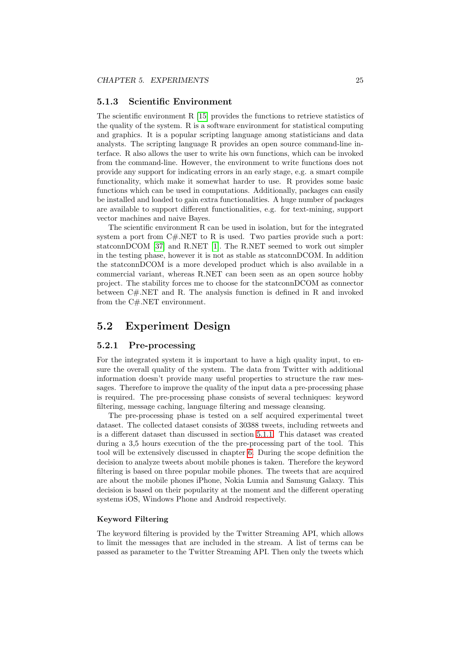#### <span id="page-28-2"></span>5.1.3 Scientific Environment

The scientific environment R [\[15\]](#page-60-13) provides the functions to retrieve statistics of the quality of the system. R is a software environment for statistical computing and graphics. It is a popular scripting language among statisticians and data analysts. The scripting language R provides an open source command-line interface. R also allows the user to write his own functions, which can be invoked from the command-line. However, the environment to write functions does not provide any support for indicating errors in an early stage, e.g. a smart compile functionality, which make it somewhat harder to use. R provides some basic functions which can be used in computations. Additionally, packages can easily be installed and loaded to gain extra functionalities. A huge number of packages are available to support different functionalities, e.g. for text-mining, support vector machines and naive Bayes.

The scientific environment R can be used in isolation, but for the integrated system a port from  $C\#$ .NET to R is used. Two parties provide such a port: statconnDCOM [\[37\]](#page-61-12) and R.NET [\[1\]](#page-59-12). The R.NET seemed to work out simpler in the testing phase, however it is not as stable as statconnDCOM. In addition the statconnDCOM is a more developed product which is also available in a commercial variant, whereas R.NET can been seen as an open source hobby project. The stability forces me to choose for the statconnDCOM as connector between C#.NET and R. The analysis function is defined in R and invoked from the C#.NET environment.

## <span id="page-28-0"></span>5.2 Experiment Design

### <span id="page-28-1"></span>5.2.1 Pre-processing

For the integrated system it is important to have a high quality input, to ensure the overall quality of the system. The data from Twitter with additional information doesn't provide many useful properties to structure the raw messages. Therefore to improve the quality of the input data a pre-processing phase is required. The pre-processing phase consists of several techniques: keyword filtering, message caching, language filtering and message cleansing.

The pre-processing phase is tested on a self acquired experimental tweet dataset. The collected dataset consists of 30388 tweets, including retweets and is a different dataset than discussed in section [5.1.1.](#page-26-2) This dataset was created during a 3,5 hours execution of the the pre-processing part of the tool. This tool will be extensively discussed in chapter [6.](#page-43-0) During the scope definition the decision to analyze tweets about mobile phones is taken. Therefore the keyword filtering is based on three popular mobile phones. The tweets that are acquired are about the mobile phones iPhone, Nokia Lumia and Samsung Galaxy. This decision is based on their popularity at the moment and the different operating systems iOS, Windows Phone and Android respectively.

### Keyword Filtering

The keyword filtering is provided by the Twitter Streaming API, which allows to limit the messages that are included in the stream. A list of terms can be passed as parameter to the Twitter Streaming API. Then only the tweets which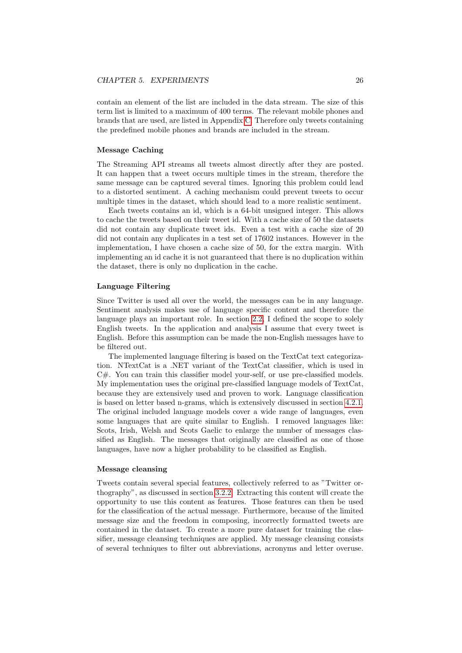contain an element of the list are included in the data stream. The size of this term list is limited to a maximum of 400 terms. The relevant mobile phones and brands that are used, are listed in Appendix [C.](#page-54-0) Therefore only tweets containing the predefined mobile phones and brands are included in the stream.

#### Message Caching

The Streaming API streams all tweets almost directly after they are posted. It can happen that a tweet occurs multiple times in the stream, therefore the same message can be captured several times. Ignoring this problem could lead to a distorted sentiment. A caching mechanism could prevent tweets to occur multiple times in the dataset, which should lead to a more realistic sentiment.

Each tweets contains an id, which is a 64-bit unsigned integer. This allows to cache the tweets based on their tweet id. With a cache size of 50 the datasets did not contain any duplicate tweet ids. Even a test with a cache size of 20 did not contain any duplicates in a test set of 17602 instances. However in the implementation, I have chosen a cache size of 50, for the extra margin. With implementing an id cache it is not guaranteed that there is no duplication within the dataset, there is only no duplication in the cache.

#### Language Filtering

Since Twitter is used all over the world, the messages can be in any language. Sentiment analysis makes use of language specific content and therefore the language plays an important role. In section [2.2,](#page-8-0) I defined the scope to solely English tweets. In the application and analysis I assume that every tweet is English. Before this assumption can be made the non-English messages have to be filtered out.

The implemented language filtering is based on the TextCat text categorization. NTextCat is a .NET variant of the TextCat classifier, which is used in C#. You can train this classifier model your-self, or use pre-classified models. My implementation uses the original pre-classified language models of TextCat, because they are extensively used and proven to work. Language classification is based on letter based n-grams, which is extensively discussed in section [4.2.1.](#page-17-3) The original included language models cover a wide range of languages, even some languages that are quite similar to English. I removed languages like: Scots, Irish, Welsh and Scots Gaelic to enlarge the number of messages classified as English. The messages that originally are classified as one of those languages, have now a higher probability to be classified as English.

#### Message cleansing

Tweets contain several special features, collectively referred to as "Twitter orthography", as discussed in section [3.2.2.](#page-13-0) Extracting this content will create the opportunity to use this content as features. Those features can then be used for the classification of the actual message. Furthermore, because of the limited message size and the freedom in composing, incorrectly formatted tweets are contained in the dataset. To create a more pure dataset for training the classifier, message cleansing techniques are applied. My message cleansing consists of several techniques to filter out abbreviations, acronyms and letter overuse.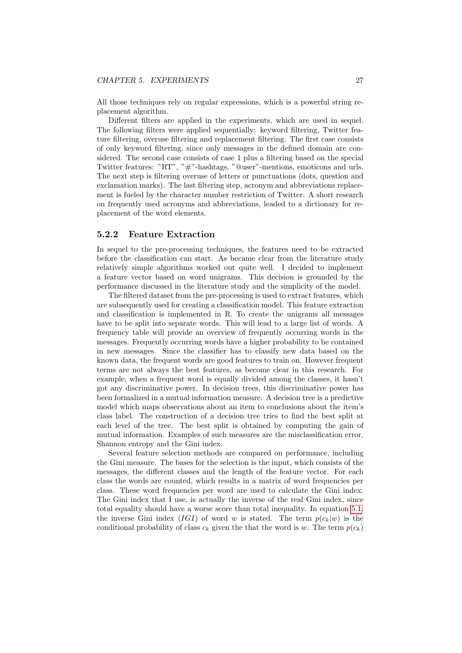All those techniques rely on regular expressions, which is a powerful string replacement algorithm.

Different filters are applied in the experiments, which are used in sequel. The following filters were applied sequentially: keyword filtering, Twitter feature filtering, overuse filtering and replacement filtering. The first case consists of only keyword filtering, since only messages in the defined domain are considered. The second case consists of case 1 plus a filtering based on the special Twitter features: "RT", "#"-hashtags, "@user"-mentions, emoticons and urls. The next step is filtering overuse of letters or punctuations (dots, question and exclamation marks). The last filtering step, acronym and abbreviations replacement is fueled by the character number restriction of Twitter. A short research on frequently used acronyms and abbreviations, leaded to a dictionary for replacement of the word elements.

### 5.2.2 Feature Extraction

In sequel to the pre-processing techniques, the features need to be extracted before the classification can start. As became clear from the literature study relatively simple algorithms worked out quite well. I decided to implement a feature vector based on word unigrams. This decision is grounded by the performance discussed in the literature study and the simplicity of the model.

The filtered dataset from the pre-processing is used to extract features, which are subsequently used for creating a classification model. This feature extraction and classification is implemented in R. To create the unigrams all messages have to be split into separate words. This will lead to a large list of words. A frequency table will provide an overview of frequently occurring words in the messages. Frequently occurring words have a higher probability to be contained in new messages. Since the classifier has to classify new data based on the known data, the frequent words are good features to train on. However frequent terms are not always the best features, as become clear in this research. For example, when a frequent word is equally divided among the classes, it hasn't got any discriminative power. In decision trees, this discriminative power has been formalized in a mutual information measure. A decision tree is a predictive model which maps observations about an item to conclusions about the item's class label. The construction of a decision tree tries to find the best split at each level of the tree. The best split is obtained by computing the gain of mutual information. Examples of such measures are the misclassification error, Shannon entropy and the Gini index.

Several feature selection methods are compared on performance, including the Gini measure. The bases for the selection is the input, which consists of the messages, the different classes and the length of the feature vector. For each class the words are counted, which results in a matrix of word frequencies per class. These word frequencies per word are used to calculate the Gini index. The Gini index that I use, is actually the inverse of the real Gini index, since total equality should have a worse score than total inequality. In equation [5.1.](#page-31-0) the inverse Gini index (IGI) of word w is stated. The term  $p(c_k|w)$  is the conditional probability of class  $c_k$  given the that the word is w. The term  $p(c_k)$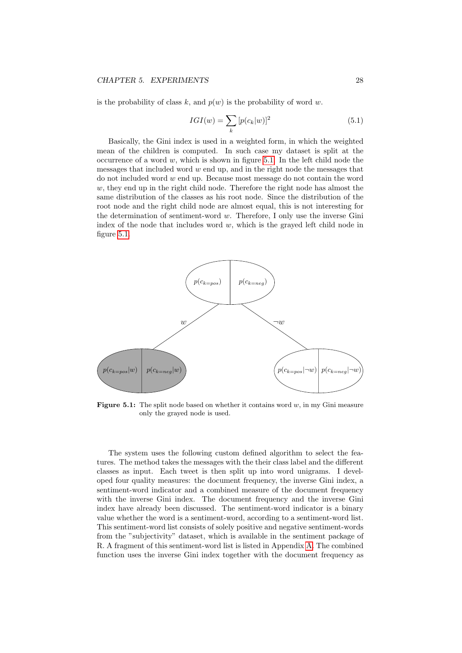<span id="page-31-0"></span>is the probability of class k, and  $p(w)$  is the probability of word w.

$$
IGI(w) = \sum_{k} [p(c_k|w)]^2 \tag{5.1}
$$

Basically, the Gini index is used in a weighted form, in which the weighted mean of the children is computed. In such case my dataset is split at the occurrence of a word  $w$ , which is shown in figure [5.1.](#page-31-1) In the left child node the messages that included word  $w$  end up, and in the right node the messages that do not included word  $w$  end up. Because most message do not contain the word  $w$ , they end up in the right child node. Therefore the right node has almost the same distribution of the classes as his root node. Since the distribution of the root node and the right child node are almost equal, this is not interesting for the determination of sentiment-word  $w$ . Therefore, I only use the inverse Gini index of the node that includes word  $w$ , which is the grayed left child node in figure [5.1.](#page-31-1)

<span id="page-31-1"></span>

**Figure 5.1:** The split node based on whether it contains word  $w$ , in my Gini measure only the grayed node is used.

The system uses the following custom defined algorithm to select the features. The method takes the messages with the their class label and the different classes as input. Each tweet is then split up into word unigrams. I developed four quality measures: the document frequency, the inverse Gini index, a sentiment-word indicator and a combined measure of the document frequency with the inverse Gini index. The document frequency and the inverse Gini index have already been discussed. The sentiment-word indicator is a binary value whether the word is a sentiment-word, according to a sentiment-word list. This sentiment-word list consists of solely positive and negative sentiment-words from the "subjectivity" dataset, which is available in the sentiment package of R. A fragment of this sentiment-word list is listed in Appendix [A.](#page-52-1) The combined function uses the inverse Gini index together with the document frequency as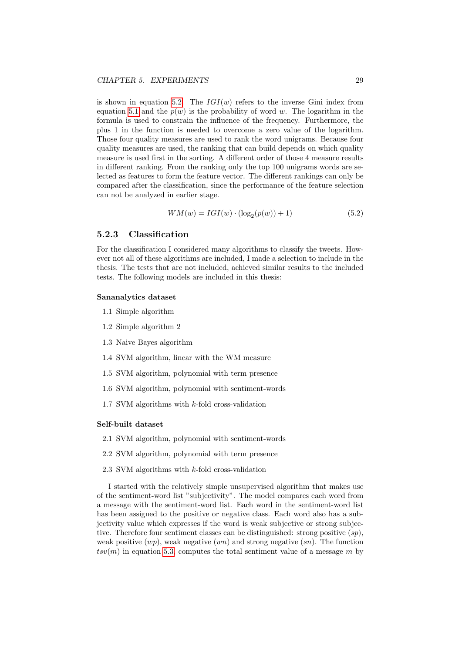is shown in equation [5.2.](#page-32-0) The  $IGI(w)$  refers to the inverse Gini index from equation [5.1](#page-31-0) and the  $p(w)$  is the probability of word w. The logarithm in the formula is used to constrain the influence of the frequency. Furthermore, the plus 1 in the function is needed to overcome a zero value of the logarithm. Those four quality measures are used to rank the word unigrams. Because four quality measures are used, the ranking that can build depends on which quality measure is used first in the sorting. A different order of those 4 measure results in different ranking. From the ranking only the top 100 unigrams words are selected as features to form the feature vector. The different rankings can only be compared after the classification, since the performance of the feature selection can not be analyzed in earlier stage.

$$
WM(w) = IGI(w) \cdot (\log_2(p(w)) + 1)
$$
\n(5.2)

### <span id="page-32-1"></span><span id="page-32-0"></span>5.2.3 Classification

For the classification I considered many algorithms to classify the tweets. However not all of these algorithms are included, I made a selection to include in the thesis. The tests that are not included, achieved similar results to the included tests. The following models are included in this thesis:

#### Sananalytics dataset

- 1.1 Simple algorithm
- 1.2 Simple algorithm 2
- 1.3 Naive Bayes algorithm
- 1.4 SVM algorithm, linear with the WM measure
- 1.5 SVM algorithm, polynomial with term presence
- 1.6 SVM algorithm, polynomial with sentiment-words
- 1.7 SVM algorithms with k-fold cross-validation

#### Self-built dataset

- 2.1 SVM algorithm, polynomial with sentiment-words
- 2.2 SVM algorithm, polynomial with term presence
- 2.3 SVM algorithms with k-fold cross-validation

I started with the relatively simple unsupervised algorithm that makes use of the sentiment-word list "subjectivity". The model compares each word from a message with the sentiment-word list. Each word in the sentiment-word list has been assigned to the positive or negative class. Each word also has a subjectivity value which expresses if the word is weak subjective or strong subjective. Therefore four sentiment classes can be distinguished: strong positive  $(sp)$ , weak positive  $(wp)$ , weak negative  $(wn)$  and strong negative  $(sn)$ . The function  $tsv(m)$  in equation [5.3,](#page-33-0) computes the total sentiment value of a message m by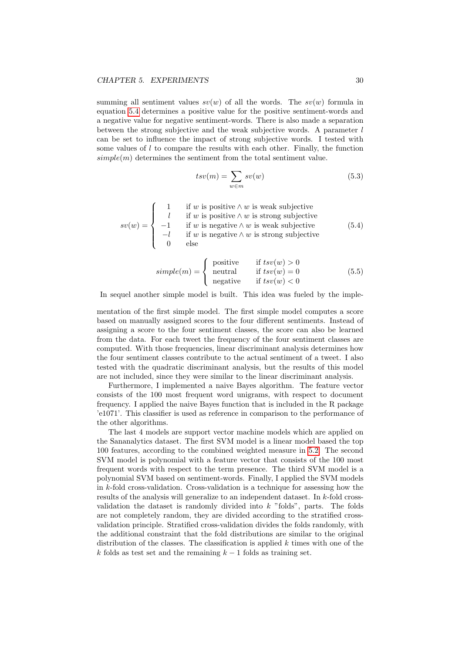summing all sentiment values  $sv(w)$  of all the words. The  $sv(w)$  formula in equation [5.4](#page-33-1) determines a positive value for the positive sentiment-words and a negative value for negative sentiment-words. There is also made a separation between the strong subjective and the weak subjective words. A parameter  $l$ can be set to influence the impact of strong subjective words. I tested with some values of  $l$  to compare the results with each other. Finally, the function  $simple(m)$  determines the sentiment from the total sentiment value.

$$
tsv(m) = \sum_{w \in m} sv(w) \tag{5.3}
$$

<span id="page-33-1"></span><span id="page-33-0"></span>
$$
sv(w) = \begin{cases} 1 & \text{if } w \text{ is positive} \land w \text{ is weak subjective} \\ l & \text{if } w \text{ is positive} \land w \text{ is strong subjective} \\ -1 & \text{if } w \text{ is negative} \land w \text{ is weak subjective} \\ -l & \text{if } w \text{ is negative} \land w \text{ is strong subjective} \\ 0 & \text{else} \end{cases} \tag{5.4}
$$

$$
simple(m) = \begin{cases} positive & \text{if } tsv(w) > 0\\neutral & \text{if } tsv(w) = 0\\negative & \text{if } tsv(w) < 0\end{cases}
$$
(5.5)

In sequel another simple model is built. This idea was fueled by the imple-

mentation of the first simple model. The first simple model computes a score based on manually assigned scores to the four different sentiments. Instead of assigning a score to the four sentiment classes, the score can also be learned from the data. For each tweet the frequency of the four sentiment classes are computed. With those frequencies, linear discriminant analysis determines how the four sentiment classes contribute to the actual sentiment of a tweet. I also tested with the quadratic discriminant analysis, but the results of this model are not included, since they were similar to the linear discriminant analysis.

Furthermore, I implemented a naive Bayes algorithm. The feature vector consists of the 100 most frequent word unigrams, with respect to document frequency. I applied the naive Bayes function that is included in the R package 'e1071'. This classifier is used as reference in comparison to the performance of the other algorithms.

The last 4 models are support vector machine models which are applied on the Sananalytics dataset. The first SVM model is a linear model based the top 100 features, according to the combined weighted measure in [5.2.](#page-32-0) The second SVM model is polynomial with a feature vector that consists of the 100 most frequent words with respect to the term presence. The third SVM model is a polynomial SVM based on sentiment-words. Finally, I applied the SVM models in k-fold cross-validation. Cross-validation is a technique for assessing how the results of the analysis will generalize to an independent dataset. In k-fold crossvalidation the dataset is randomly divided into  $k$  "folds", parts. The folds are not completely random, they are divided according to the stratified crossvalidation principle. Stratified cross-validation divides the folds randomly, with the additional constraint that the fold distributions are similar to the original distribution of the classes. The classification is applied  $k$  times with one of the k folds as test set and the remaining  $k - 1$  folds as training set.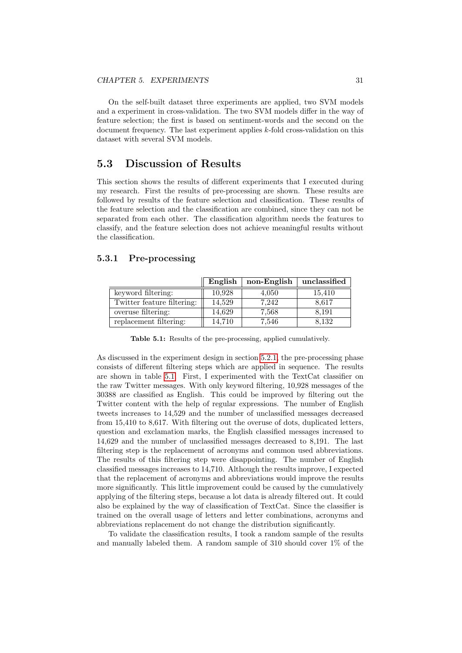On the self-built dataset three experiments are applied, two SVM models and a experiment in cross-validation. The two SVM models differ in the way of feature selection; the first is based on sentiment-words and the second on the document frequency. The last experiment applies k-fold cross-validation on this dataset with several SVM models.

## <span id="page-34-0"></span>5.3 Discussion of Results

This section shows the results of different experiments that I executed during my research. First the results of pre-processing are shown. These results are followed by results of the feature selection and classification. These results of the feature selection and the classification are combined, since they can not be separated from each other. The classification algorithm needs the features to classify, and the feature selection does not achieve meaningful results without the classification.

### 5.3.1 Pre-processing

<span id="page-34-1"></span>

|                            | English | non-English | unclassified |
|----------------------------|---------|-------------|--------------|
| keyword filtering:         | 10,928  | 4,050       | 15,410       |
| Twitter feature filtering: | 14,529  | 7,242       | 8,617        |
| overuse filtering:         | 14,629  | 7,568       | 8,191        |
| replacement filtering:     | 14,710  | 7,546       | 8,132        |

Table 5.1: Results of the pre-processing, applied cumulatively.

As discussed in the experiment design in section [5.2.1,](#page-28-1) the pre-processing phase consists of different filtering steps which are applied in sequence. The results are shown in table [5.1.](#page-34-1) First, I experimented with the TextCat classifier on the raw Twitter messages. With only keyword filtering, 10,928 messages of the 30388 are classified as English. This could be improved by filtering out the Twitter content with the help of regular expressions. The number of English tweets increases to 14,529 and the number of unclassified messages decreased from 15,410 to 8,617. With filtering out the overuse of dots, duplicated letters, question and exclamation marks, the English classified messages increased to 14,629 and the number of unclassified messages decreased to 8,191. The last filtering step is the replacement of acronyms and common used abbreviations. The results of this filtering step were disappointing. The number of English classified messages increases to 14,710. Although the results improve, I expected that the replacement of acronyms and abbreviations would improve the results more significantly. This little improvement could be caused by the cumulatively applying of the filtering steps, because a lot data is already filtered out. It could also be explained by the way of classification of TextCat. Since the classifier is trained on the overall usage of letters and letter combinations, acronyms and abbreviations replacement do not change the distribution significantly.

To validate the classification results, I took a random sample of the results and manually labeled them. A random sample of 310 should cover 1% of the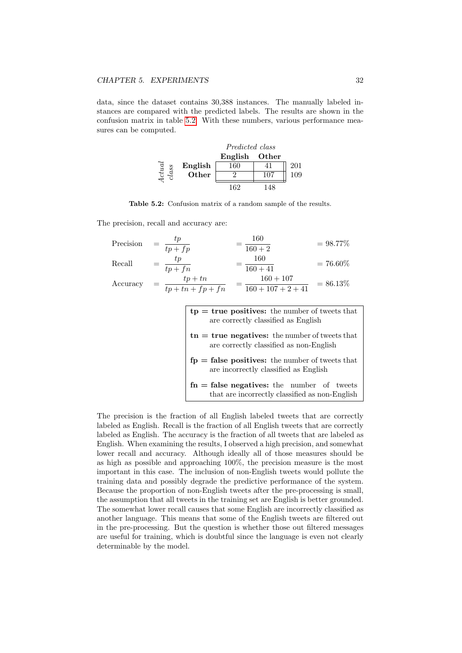<span id="page-35-0"></span>data, since the dataset contains 30,388 instances. The manually labeled instances are compared with the predicted labels. The results are shown in the confusion matrix in table [5.2.](#page-35-0) With these numbers, various performance measures can be computed.

|       |         | Predicted class |     |     |  |
|-------|---------|-----------------|-----|-----|--|
|       |         | English Other   |     |     |  |
| ctual | English | 160             |     | 201 |  |
| class | Other   |                 |     | 19  |  |
|       |         | 162             | 148 |     |  |

Table 5.2: Confusion matrix of a random sample of the results.

The precision, recall and accuracy are:

| Precision | tp<br>$tp + fp$                | 160<br>$160 + 2$                    | $= 98.77\%$ |
|-----------|--------------------------------|-------------------------------------|-------------|
| Recall    | tp<br>$tp + fn$                | 160<br>$160 + 41$                   | $= 76.60\%$ |
| Accuracy  | $tp+tn$<br>$tp + tn + fp + fn$ | $160 + 107$<br>$160 + 107 + 2 + 41$ | $= 86.13\%$ |

| $tp = true$ positives: the number of tweets that<br>are correctly classified as English                  |
|----------------------------------------------------------------------------------------------------------|
| $\mathbf{t}$ in $=$ true negatives: the number of tweets that<br>are correctly classified as non-English |
| $fp = false$ positives: the number of tweets that<br>are incorrectly classified as English               |
| $fn = false$ negatives: the number of tweets<br>that are incorrectly classified as non-English           |

The precision is the fraction of all English labeled tweets that are correctly labeled as English. Recall is the fraction of all English tweets that are correctly labeled as English. The accuracy is the fraction of all tweets that are labeled as English. When examining the results, I observed a high precision, and somewhat lower recall and accuracy. Although ideally all of those measures should be as high as possible and approaching 100%, the precision measure is the most important in this case. The inclusion of non-English tweets would pollute the training data and possibly degrade the predictive performance of the system. Because the proportion of non-English tweets after the pre-processing is small, the assumption that all tweets in the training set are English is better grounded. The somewhat lower recall causes that some English are incorrectly classified as another language. This means that some of the English tweets are filtered out in the pre-processing. But the question is whether those out filtered messages are useful for training, which is doubtful since the language is even not clearly determinable by the model.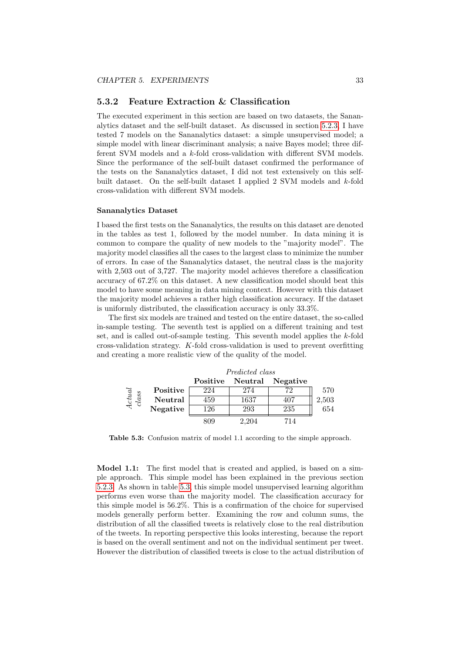#### <span id="page-36-1"></span>5.3.2 Feature Extraction & Classification

The executed experiment in this section are based on two datasets, the Sananalytics dataset and the self-built dataset. As discussed in section [5.2.3,](#page-32-1) I have tested 7 models on the Sananalytics dataset: a simple unsupervised model; a simple model with linear discriminant analysis; a naive Bayes model; three different SVM models and a k-fold cross-validation with different SVM models. Since the performance of the self-built dataset confirmed the performance of the tests on the Sananalytics dataset, I did not test extensively on this selfbuilt dataset. On the self-built dataset I applied 2 SVM models and k-fold cross-validation with different SVM models.

#### Sananalytics Dataset

I based the first tests on the Sananalytics, the results on this dataset are denoted in the tables as test 1, followed by the model number. In data mining it is common to compare the quality of new models to the "majority model". The majority model classifies all the cases to the largest class to minimize the number of errors. In case of the Sananalytics dataset, the neutral class is the majority with 2,503 out of 3,727. The majority model achieves therefore a classification accuracy of 67.2% on this dataset. A new classification model should beat this model to have some meaning in data mining context. However with this dataset the majority model achieves a rather high classification accuracy. If the dataset is uniformly distributed, the classification accuracy is only 33.3%.

The first six models are trained and tested on the entire dataset, the so-called in-sample testing. The seventh test is applied on a different training and test set, and is called out-of-sample testing. This seventh model applies the  $k$ -fold cross-validation strategy. K-fold cross-validation is used to prevent overfitting and creating a more realistic view of the quality of the model.

<span id="page-36-0"></span>

|                        |          | Predicted class |       |                           |       |
|------------------------|----------|-----------------|-------|---------------------------|-------|
|                        |          |                 |       | Positive Neutral Negative |       |
|                        | Positive | 224             | 274   | 72                        | 570   |
| $\frac{Actual}{class}$ | Neutral  | 459             | 1637  | 407                       | 2,503 |
|                        | Negative | 126             | 293   | 235                       | 654   |
|                        |          |                 | 2,204 | 714                       |       |

Table 5.3: Confusion matrix of model 1.1 according to the simple approach.

Model 1.1: The first model that is created and applied, is based on a simple approach. This simple model has been explained in the previous section [5.2.3.](#page-32-1) As shown in table [5.3,](#page-36-0) this simple model unsupervised learning algorithm performs even worse than the majority model. The classification accuracy for this simple model is 56.2%. This is a confirmation of the choice for supervised models generally perform better. Examining the row and column sums, the distribution of all the classified tweets is relatively close to the real distribution of the tweets. In reporting perspective this looks interesting, because the report is based on the overall sentiment and not on the individual sentiment per tweet. However the distribution of classified tweets is close to the actual distribution of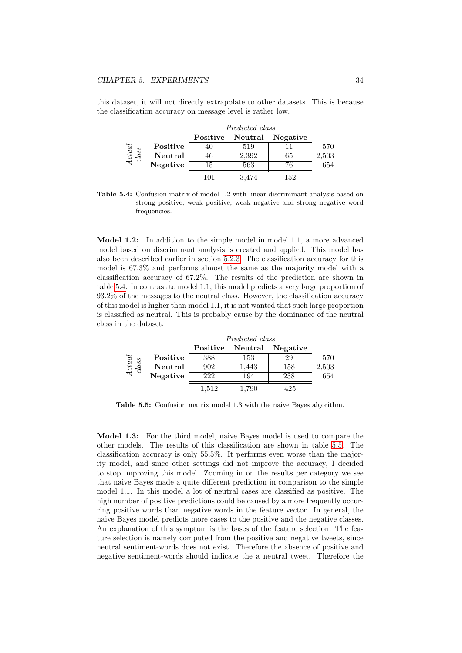<span id="page-37-0"></span>this dataset, it will not directly extrapolate to other datasets. This is because the classification accuracy on message level is rather low.

|                   |                | Predicted class |       |                           |       |
|-------------------|----------------|-----------------|-------|---------------------------|-------|
|                   |                |                 |       | Positive Neutral Negative |       |
|                   | Positive       | 40              | 519   |                           | 570   |
| $\frac{4}{class}$ | <b>Neutral</b> | 46              | 2,392 | 65                        | 2,503 |
|                   | Negative       | 15              | 563   | 76                        | 654   |
|                   |                | 105             | 3,474 | 152                       |       |

Table 5.4: Confusion matrix of model 1.2 with linear discriminant analysis based on strong positive, weak positive, weak negative and strong negative word frequencies.

Model 1.2: In addition to the simple model in model 1.1, a more advanced model based on discriminant analysis is created and applied. This model has also been described earlier in section [5.2.3.](#page-32-1) The classification accuracy for this model is 67.3% and performs almost the same as the majority model with a classification accuracy of 67.2%. The results of the prediction are shown in table [5.4.](#page-37-0) In contrast to model 1.1, this model predicts a very large proportion of 93.2% of the messages to the neutral class. However, the classification accuracy of this model is higher than model 1.1, it is not wanted that such large proportion is classified as neutral. This is probably cause by the dominance of the neutral class in the dataset.

<span id="page-37-1"></span>

|                                                        |          | Predicted class |                  |          |       |
|--------------------------------------------------------|----------|-----------------|------------------|----------|-------|
|                                                        |          |                 | Positive Neutral | Negative |       |
|                                                        | Positive | 388             | 153              | 29       | 570   |
| $\begin{array}{c} A {\it cut} al \\ class \end{array}$ | Neutral  | 902             | 1,443            | 158      | 2,503 |
|                                                        | Negative | 222             | 194              | 238      | 654   |
|                                                        |          | 1,512           | 1,790            | 425      |       |

Table 5.5: Confusion matrix model 1.3 with the naive Bayes algorithm.

Model 1.3: For the third model, naive Bayes model is used to compare the other models. The results of this classification are shown in table [5.5.](#page-37-1) The classification accuracy is only 55.5%. It performs even worse than the majority model, and since other settings did not improve the accuracy, I decided to stop improving this model. Zooming in on the results per category we see that naive Bayes made a quite different prediction in comparison to the simple model 1.1. In this model a lot of neutral cases are classified as positive. The high number of positive predictions could be caused by a more frequently occurring positive words than negative words in the feature vector. In general, the naive Bayes model predicts more cases to the positive and the negative classes. An explanation of this symptom is the bases of the feature selection. The feature selection is namely computed from the positive and negative tweets, since neutral sentiment-words does not exist. Therefore the absence of positive and negative sentiment-words should indicate the a neutral tweet. Therefore the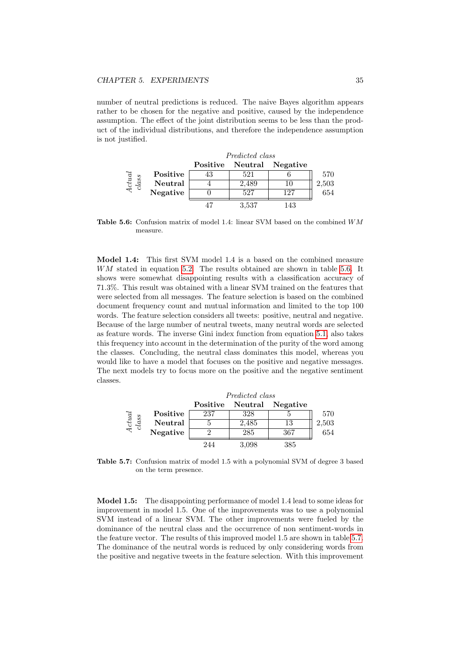number of neutral predictions is reduced. The naive Bayes algorithm appears rather to be chosen for the negative and positive, caused by the independence assumption. The effect of the joint distribution seems to be less than the product of the individual distributions, and therefore the independence assumption is not justified.

<span id="page-38-0"></span>

|                   |          | Predicted class |                           |       |  |
|-------------------|----------|-----------------|---------------------------|-------|--|
|                   |          |                 | Positive Neutral Negative |       |  |
|                   | Positive | 521             |                           | 570   |  |
| $\frac{1}{class}$ | Neutral  | 2,489           |                           | 2,503 |  |
|                   | Negative | 527             | 127                       | 654   |  |
|                   |          | 3.537           | 143                       |       |  |

Table 5.6: Confusion matrix of model 1.4: linear SVM based on the combined  $WM$ measure.

Model 1.4: This first SVM model 1.4 is a based on the combined measure WM stated in equation [5.2.](#page-32-0) The results obtained are shown in table [5.6.](#page-38-0) It shows were somewhat disappointing results with a classification accuracy of 71.3%. This result was obtained with a linear SVM trained on the features that were selected from all messages. The feature selection is based on the combined document frequency count and mutual information and limited to the top 100 words. The feature selection considers all tweets: positive, neutral and negative. Because of the large number of neutral tweets, many neutral words are selected as feature words. The inverse Gini index function from equation [5.1,](#page-31-0) also takes this frequency into account in the determination of the purity of the word among the classes. Concluding, the neutral class dominates this model, whereas you would like to have a model that focuses on the positive and negative messages. The next models try to focus more on the positive and the negative sentiment classes.

<span id="page-38-1"></span>

|                   |          | Predicted class |                  |          |       |
|-------------------|----------|-----------------|------------------|----------|-------|
|                   |          |                 | Positive Neutral | Negative |       |
|                   | Positive | 237             | 328              |          | 570   |
| $\frac{4}{class}$ | Neutral  |                 | 2,485            | 13       | 2,503 |
|                   | Negative |                 | 285              | 367      | 654   |
|                   |          | 244             | 3.098            | 385      |       |

Table 5.7: Confusion matrix of model 1.5 with a polynomial SVM of degree 3 based on the term presence.

Model 1.5: The disappointing performance of model 1.4 lead to some ideas for improvement in model 1.5. One of the improvements was to use a polynomial SVM instead of a linear SVM. The other improvements were fueled by the dominance of the neutral class and the occurrence of non sentiment-words in the feature vector. The results of this improved model 1.5 are shown in table [5.7.](#page-38-1) The dominance of the neutral words is reduced by only considering words from the positive and negative tweets in the feature selection. With this improvement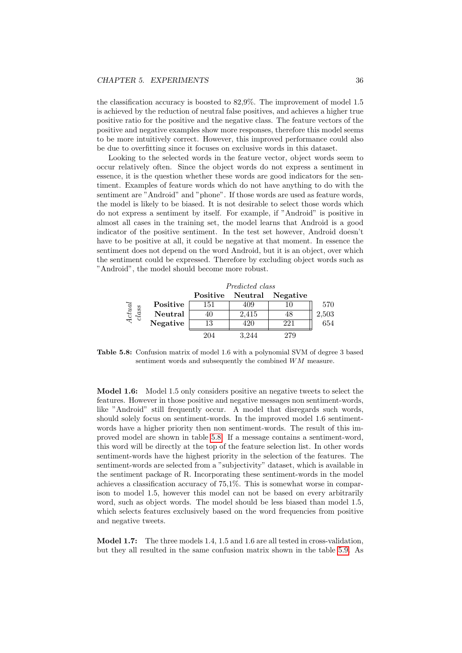the classification accuracy is boosted to 82,9%. The improvement of model 1.5 is achieved by the reduction of neutral false positives, and achieves a higher true positive ratio for the positive and the negative class. The feature vectors of the positive and negative examples show more responses, therefore this model seems to be more intuitively correct. However, this improved performance could also be due to overfitting since it focuses on exclusive words in this dataset.

Looking to the selected words in the feature vector, object words seem to occur relatively often. Since the object words do not express a sentiment in essence, it is the question whether these words are good indicators for the sentiment. Examples of feature words which do not have anything to do with the sentiment are "Android" and "phone". If those words are used as feature words, the model is likely to be biased. It is not desirable to select those words which do not express a sentiment by itself. For example, if "Android" is positive in almost all cases in the training set, the model learns that Android is a good indicator of the positive sentiment. In the test set however, Android doesn't have to be positive at all, it could be negative at that moment. In essence the sentiment does not depend on the word Android, but it is an object, over which the sentiment could be expressed. Therefore by excluding object words such as "Android", the model should become more robust.

<span id="page-39-0"></span>

|                        |          | Predicted class |                  |          |       |
|------------------------|----------|-----------------|------------------|----------|-------|
|                        |          |                 | Positive Neutral | Negative |       |
| $\frac{Actual}{class}$ | Positive | 151             | 409              | 10       | 570   |
|                        | Neutral  | 40              | 2,415            | 48       | 2,503 |
|                        | Negative | 13              | 420              | 221      | 654   |
|                        |          | 204             | 3.244            | 279      |       |

Table 5.8: Confusion matrix of model 1.6 with a polynomial SVM of degree 3 based sentiment words and subsequently the combined WM measure.

Model 1.6: Model 1.5 only considers positive an negative tweets to select the features. However in those positive and negative messages non sentiment-words, like "Android" still frequently occur. A model that disregards such words, should solely focus on sentiment-words. In the improved model 1.6 sentimentwords have a higher priority then non sentiment-words. The result of this improved model are shown in table [5.8.](#page-39-0) If a message contains a sentiment-word, this word will be directly at the top of the feature selection list. In other words sentiment-words have the highest priority in the selection of the features. The sentiment-words are selected from a "subjectivity" dataset, which is available in the sentiment package of R. Incorporating these sentiment-words in the model achieves a classification accuracy of 75,1%. This is somewhat worse in comparison to model 1.5, however this model can not be based on every arbitrarily word, such as object words. The model should be less biased than model 1.5, which selects features exclusively based on the word frequencies from positive and negative tweets.

Model 1.7: The three models 1.4, 1.5 and 1.6 are all tested in cross-validation, but they all resulted in the same confusion matrix shown in the table [5.9.](#page-40-0) As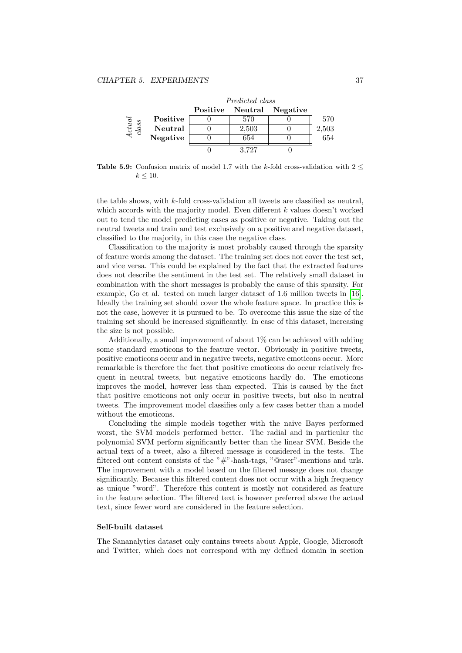<span id="page-40-0"></span>

|                                                       |          | Predicted class |                           |       |
|-------------------------------------------------------|----------|-----------------|---------------------------|-------|
|                                                       |          |                 | Positive Neutral Negative |       |
|                                                       | Positive | 570             |                           | 570   |
| $\begin{array}{l} 4 {\it ctual} \\ class \end{array}$ | Neutral  | 2,503           |                           | 2,503 |
|                                                       | Negative | 654             |                           | 654   |
|                                                       |          | 3.727           |                           |       |

Table 5.9: Confusion matrix of model 1.7 with the k-fold cross-validation with  $2 <$  $k < 10$ .

the table shows, with  $k$ -fold cross-validation all tweets are classified as neutral, which accords with the majority model. Even different  $k$  values doesn't worked out to tend the model predicting cases as positive or negative. Taking out the neutral tweets and train and test exclusively on a positive and negative dataset, classified to the majority, in this case the negative class.

Classification to the majority is most probably caused through the sparsity of feature words among the dataset. The training set does not cover the test set, and vice versa. This could be explained by the fact that the extracted features does not describe the sentiment in the test set. The relatively small dataset in combination with the short messages is probably the cause of this sparsity. For example, Go et al. tested on much larger dataset of 1.6 million tweets in [\[16\]](#page-60-8). Ideally the training set should cover the whole feature space. In practice this is not the case, however it is pursued to be. To overcome this issue the size of the training set should be increased significantly. In case of this dataset, increasing the size is not possible.

Additionally, a small improvement of about 1% can be achieved with adding some standard emoticons to the feature vector. Obviously in positive tweets, positive emoticons occur and in negative tweets, negative emoticons occur. More remarkable is therefore the fact that positive emoticons do occur relatively frequent in neutral tweets, but negative emoticons hardly do. The emoticons improves the model, however less than expected. This is caused by the fact that positive emoticons not only occur in positive tweets, but also in neutral tweets. The improvement model classifies only a few cases better than a model without the emoticons.

Concluding the simple models together with the naive Bayes performed worst, the SVM models performed better. The radial and in particular the polynomial SVM perform significantly better than the linear SVM. Beside the actual text of a tweet, also a filtered message is considered in the tests. The filtered out content consists of the "#"-hash-tags, "@user"-mentions and urls. The improvement with a model based on the filtered message does not change significantly. Because this filtered content does not occur with a high frequency as unique "word". Therefore this content is mostly not considered as feature in the feature selection. The filtered text is however preferred above the actual text, since fewer word are considered in the feature selection.

#### Self-built dataset

The Sananalytics dataset only contains tweets about Apple, Google, Microsoft and Twitter, which does not correspond with my defined domain in section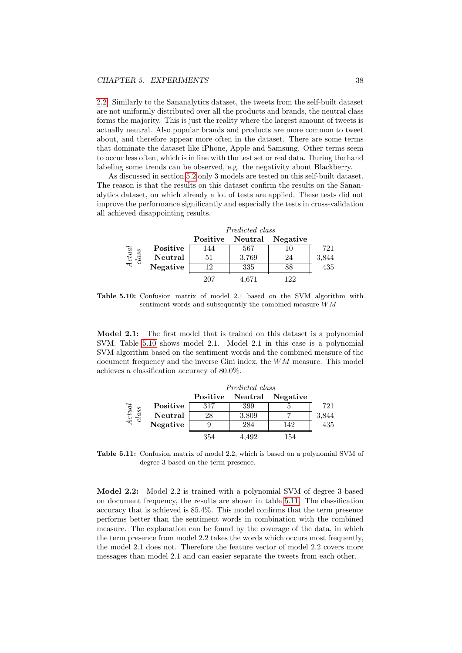[2.2.](#page-8-0) Similarly to the Sananalytics dataset, the tweets from the self-built dataset are not uniformly distributed over all the products and brands, the neutral class forms the majority. This is just the reality where the largest amount of tweets is actually neutral. Also popular brands and products are more common to tweet about, and therefore appear more often in the dataset. There are some terms that dominate the dataset like iPhone, Apple and Samsung. Other terms seem to occur less often, which is in line with the test set or real data. During the hand labeling some trends can be observed, e.g. the negativity about Blackberry.

As discussed in section [5.2](#page-28-0) only 3 models are tested on this self-built dataset. The reason is that the results on this dataset confirm the results on the Sananalytics dataset, on which already a lot of tests are applied. These tests did not improve the performance significantly and especially the tests in cross-validation all achieved disappointing results.

<span id="page-41-0"></span>

|                                                     |          | Predicted class |                  |          |       |
|-----------------------------------------------------|----------|-----------------|------------------|----------|-------|
|                                                     |          |                 | Positive Neutral | Negative |       |
|                                                     | Positive | 144             | 567              |          | 721   |
| $\begin{array}{c} A {\it cut} \\ class \end{array}$ | Neutral  | 51              | 3.769            | 24       | 3,844 |
|                                                     | Negative | 19              | 335              |          | 435   |
|                                                     |          | 207             | 4.671            | 122      |       |

Table 5.10: Confusion matrix of model 2.1 based on the SVM algorithm with sentiment-words and subsequently the combined measure WM

Model 2.1: The first model that is trained on this dataset is a polynomial SVM. Table [5.10](#page-41-0) shows model 2.1. Model 2.1 in this case is a polynomial SVM algorithm based on the sentiment words and the combined measure of the document frequency and the inverse Gini index, the  $WM$  measure. This model achieves a classification accuracy of 80.0%.

<span id="page-41-1"></span>

|                   |          | Predicted class |                  |          |             |
|-------------------|----------|-----------------|------------------|----------|-------------|
|                   |          |                 | Positive Neutral | Negative |             |
|                   | Positive | 317             | 399              |          | 721         |
| $\frac{4}{class}$ | Neutral  | 28              | 3,809            |          | 3,844       |
|                   | Negative |                 | 284              | 142      | $^{75}$ 435 |
|                   |          | 354             | 4.492            | 154      |             |

Table 5.11: Confusion matrix of model 2.2, which is based on a polynomial SVM of degree 3 based on the term presence.

Model 2.2: Model 2.2 is trained with a polynomial SVM of degree 3 based on document frequency, the results are shown in table [5.11.](#page-41-1) The classification accuracy that is achieved is 85.4%. This model confirms that the term presence performs better than the sentiment words in combination with the combined measure. The explanation can be found by the coverage of the data, in which the term presence from model 2.2 takes the words which occurs most frequently, the model 2.1 does not. Therefore the feature vector of model 2.2 covers more messages than model 2.1 and can easier separate the tweets from each other.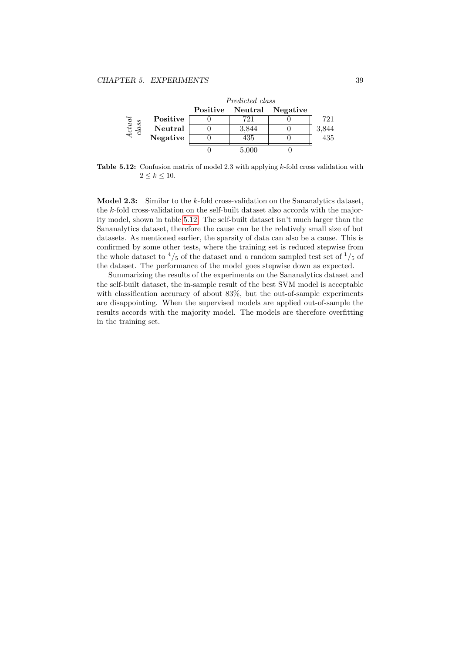<span id="page-42-0"></span>

Table 5.12: Confusion matrix of model 2.3 with applying k-fold cross validation with  $2 \leq k \leq 10$ .

Model 2.3: Similar to the k-fold cross-validation on the Sananalytics dataset, the k-fold cross-validation on the self-built dataset also accords with the majority model, shown in table [5.12.](#page-42-0) The self-built dataset isn't much larger than the Sananalytics dataset, therefore the cause can be the relatively small size of bot datasets. As mentioned earlier, the sparsity of data can also be a cause. This is confirmed by some other tests, where the training set is reduced stepwise from the whole dataset to  $\frac{4}{5}$  of the dataset and a random sampled test set of  $\frac{1}{5}$  of the dataset. The performance of the model goes stepwise down as expected.

Summarizing the results of the experiments on the Sananalytics dataset and the self-built dataset, the in-sample result of the best SVM model is acceptable with classification accuracy of about 83%, but the out-of-sample experiments are disappointing. When the supervised models are applied out-of-sample the results accords with the majority model. The models are therefore overfitting in the training set.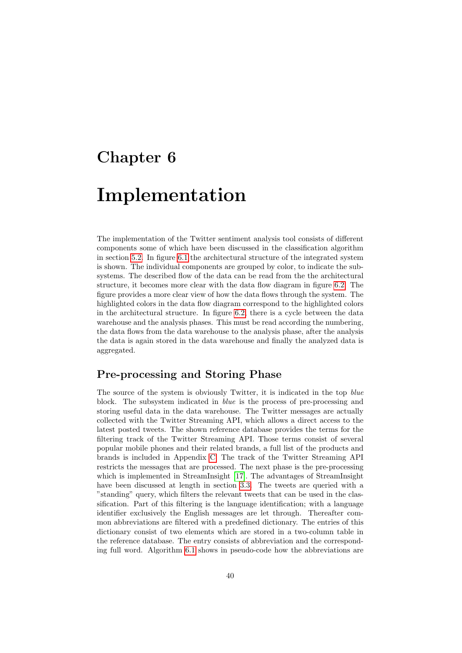## <span id="page-43-0"></span>Chapter 6

## Implementation

The implementation of the Twitter sentiment analysis tool consists of different components some of which have been discussed in the classification algorithm in section [5.2.](#page-28-0) In figure [6.1](#page-44-0) the architectural structure of the integrated system is shown. The individual components are grouped by color, to indicate the subsystems. The described flow of the data can be read from the the architectural structure, it becomes more clear with the data flow diagram in figure [6.2.](#page-46-0) The figure provides a more clear view of how the data flows through the system. The highlighted colors in the data flow diagram correspond to the highlighted colors in the architectural structure. In figure [6.2,](#page-46-0) there is a cycle between the data warehouse and the analysis phases. This must be read according the numbering, the data flows from the data warehouse to the analysis phase, after the analysis the data is again stored in the data warehouse and finally the analyzed data is aggregated.

## <span id="page-43-1"></span>Pre-processing and Storing Phase

The source of the system is obviously Twitter, it is indicated in the top *blue* block. The subsystem indicated in blue is the process of pre-processing and storing useful data in the data warehouse. The Twitter messages are actually collected with the Twitter Streaming API, which allows a direct access to the latest posted tweets. The shown reference database provides the terms for the filtering track of the Twitter Streaming API. Those terms consist of several popular mobile phones and their related brands, a full list of the products and brands is included in Appendix [C.](#page-54-0) The track of the Twitter Streaming API restricts the messages that are processed. The next phase is the pre-processing which is implemented in StreamInsight [\[17\]](#page-60-14). The advantages of StreamInsight have been discussed at length in section [3.3.](#page-14-0) The tweets are queried with a "standing" query, which filters the relevant tweets that can be used in the classification. Part of this filtering is the language identification; with a language identifier exclusively the English messages are let through. Thereafter common abbreviations are filtered with a predefined dictionary. The entries of this dictionary consist of two elements which are stored in a two-column table in the reference database. The entry consists of abbreviation and the corresponding full word. Algorithm [6.1](#page-45-0) shows in pseudo-code how the abbreviations are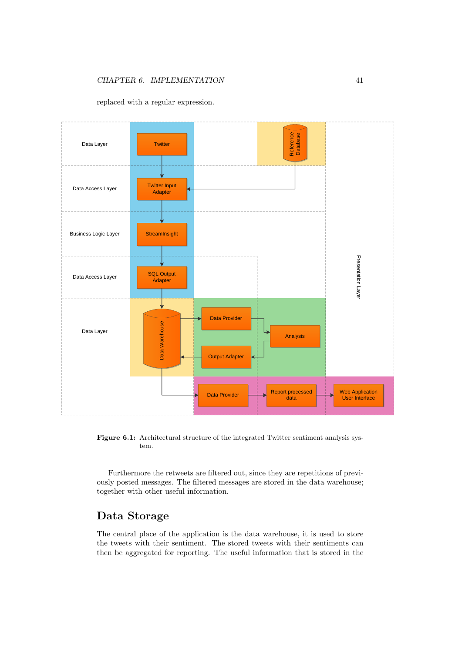

<span id="page-44-0"></span>replaced with a regular expression.

Figure 6.1: Architectural structure of the integrated Twitter sentiment analysis system.

Furthermore the retweets are filtered out, since they are repetitions of previously posted messages. The filtered messages are stored in the data warehouse; together with other useful information.

## Data Storage

The central place of the application is the data warehouse, it is used to store the tweets with their sentiment. The stored tweets with their sentiments can then be aggregated for reporting. The useful information that is stored in the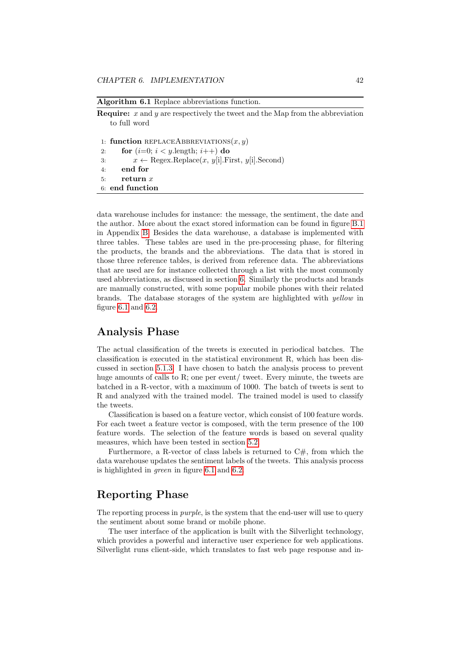```
Algorithm 6.1 Replace abbreviations function.
```
**Require:**  $x$  and  $y$  are respectively the tweet and the Map from the abbreviation to full word

1: function REPLACEABBREVIATIONS $(x, y)$ 2: for  $(i=0; i < y$ .length;  $i++$ ) do 3:  $x \leftarrow \text{Regex}.\text{Replace}(x, y[i].\text{First}, y[i].\text{Second})$ <br>4: end for end for 5: return x 6: end function

data warehouse includes for instance: the message, the sentiment, the date and the author. More about the exact stored information can be found in figure [B.1](#page-53-1) in Appendix [B.](#page-53-0) Besides the data warehouse, a database is implemented with three tables. These tables are used in the pre-processing phase, for filtering the products, the brands and the abbreviations. The data that is stored in those three reference tables, is derived from reference data. The abbreviations that are used are for instance collected through a list with the most commonly used abbreviations, as discussed in section [6.](#page-43-1) Similarly the products and brands are manually constructed, with some popular mobile phones with their related brands. The database storages of the system are highlighted with yellow in figure [6.1](#page-44-0) and [6.2.](#page-46-0)

## Analysis Phase

The actual classification of the tweets is executed in periodical batches. The classification is executed in the statistical environment R, which has been discussed in section [5.1.3.](#page-28-2) I have chosen to batch the analysis process to prevent huge amounts of calls to R; one per event/ tweet. Every minute, the tweets are batched in a R-vector, with a maximum of 1000. The batch of tweets is sent to R and analyzed with the trained model. The trained model is used to classify the tweets.

Classification is based on a feature vector, which consist of 100 feature words. For each tweet a feature vector is composed, with the term presence of the 100 feature words. The selection of the feature words is based on several quality measures, which have been tested in section [5.2.](#page-28-0)

Furthermore, a R-vector of class labels is returned to  $C#$ , from which the data warehouse updates the sentiment labels of the tweets. This analysis process is highlighted in green in figure [6.1](#page-44-0) and [6.2.](#page-46-0)

## Reporting Phase

The reporting process in *purple*, is the system that the end-user will use to query the sentiment about some brand or mobile phone.

The user interface of the application is built with the Silverlight technology, which provides a powerful and interactive user experience for web applications. Silverlight runs client-side, which translates to fast web page response and in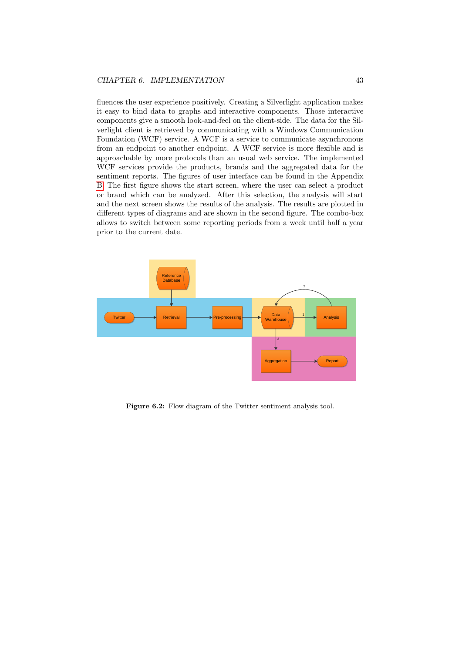fluences the user experience positively. Creating a Silverlight application makes it easy to bind data to graphs and interactive components. Those interactive components give a smooth look-and-feel on the client-side. The data for the Silverlight client is retrieved by communicating with a Windows Communication Foundation (WCF) service. A WCF is a service to communicate asynchronous from an endpoint to another endpoint. A WCF service is more flexible and is approachable by more protocols than an usual web service. The implemented WCF services provide the products, brands and the aggregated data for the sentiment reports. The figures of user interface can be found in the Appendix [B.](#page-53-0) The first figure shows the start screen, where the user can select a product or brand which can be analyzed. After this selection, the analysis will start and the next screen shows the results of the analysis. The results are plotted in different types of diagrams and are shown in the second figure. The combo-box allows to switch between some reporting periods from a week until half a year prior to the current date.

<span id="page-46-0"></span>

Figure 6.2: Flow diagram of the Twitter sentiment analysis tool.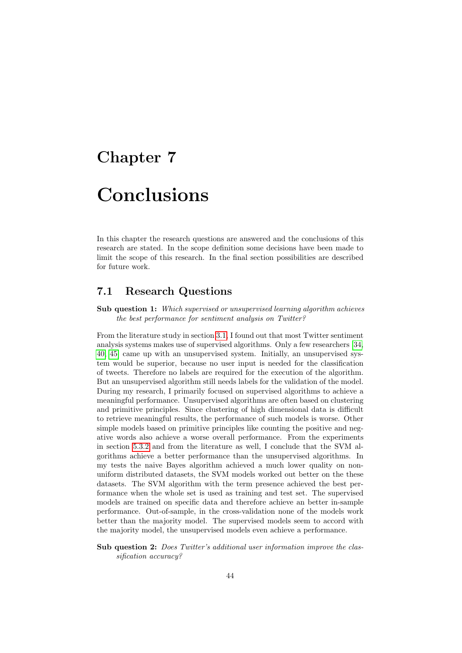# <span id="page-47-0"></span>Chapter 7

# Conclusions

In this chapter the research questions are answered and the conclusions of this research are stated. In the scope definition some decisions have been made to limit the scope of this research. In the final section possibilities are described for future work.

## <span id="page-47-1"></span>7.1 Research Questions

Sub question 1: Which supervised or unsupervised learning algorithm achieves the best performance for sentiment analysis on Twitter?

From the literature study in section [3.1,](#page-10-1) I found out that most Twitter sentiment analysis systems makes use of supervised algorithms. Only a few researchers [\[34,](#page-61-10) [40,](#page-61-9) [45\]](#page-62-1) came up with an unsupervised system. Initially, an unsupervised system would be superior, because no user input is needed for the classification of tweets. Therefore no labels are required for the execution of the algorithm. But an unsupervised algorithm still needs labels for the validation of the model. During my research, I primarily focused on supervised algorithms to achieve a meaningful performance. Unsupervised algorithms are often based on clustering and primitive principles. Since clustering of high dimensional data is difficult to retrieve meaningful results, the performance of such models is worse. Other simple models based on primitive principles like counting the positive and negative words also achieve a worse overall performance. From the experiments in section [5.3.2](#page-36-1) and from the literature as well, I conclude that the SVM algorithms achieve a better performance than the unsupervised algorithms. In my tests the naive Bayes algorithm achieved a much lower quality on nonuniform distributed datasets, the SVM models worked out better on the these datasets. The SVM algorithm with the term presence achieved the best performance when the whole set is used as training and test set. The supervised models are trained on specific data and therefore achieve an better in-sample performance. Out-of-sample, in the cross-validation none of the models work better than the majority model. The supervised models seem to accord with the majority model, the unsupervised models even achieve a performance.

Sub question 2: Does Twitter's additional user information improve the classification accuracy?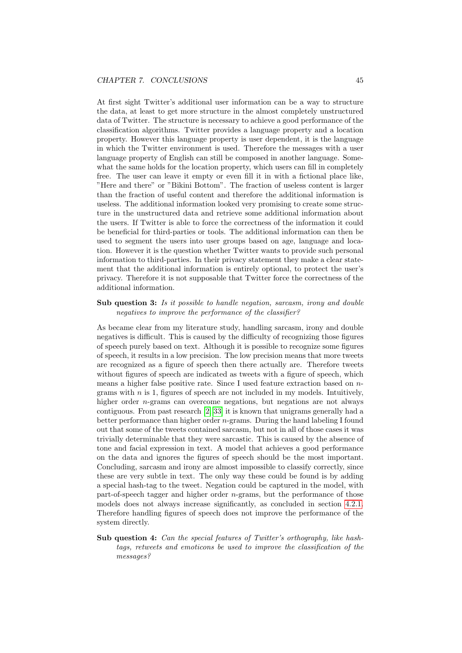At first sight Twitter's additional user information can be a way to structure the data, at least to get more structure in the almost completely unstructured data of Twitter. The structure is necessary to achieve a good performance of the classification algorithms. Twitter provides a language property and a location property. However this language property is user dependent, it is the language in which the Twitter environment is used. Therefore the messages with a user language property of English can still be composed in another language. Somewhat the same holds for the location property, which users can fill in completely free. The user can leave it empty or even fill it in with a fictional place like, "Here and there" or "Bikini Bottom". The fraction of useless content is larger than the fraction of useful content and therefore the additional information is useless. The additional information looked very promising to create some structure in the unstructured data and retrieve some additional information about the users. If Twitter is able to force the correctness of the information it could be beneficial for third-parties or tools. The additional information can then be used to segment the users into user groups based on age, language and location. However it is the question whether Twitter wants to provide such personal information to third-parties. In their privacy statement they make a clear statement that the additional information is entirely optional, to protect the user's privacy. Therefore it is not supposable that Twitter force the correctness of the additional information.

### Sub question 3: Is it possible to handle negation, sarcasm, irony and double negatives to improve the performance of the classifier?

As became clear from my literature study, handling sarcasm, irony and double negatives is difficult. This is caused by the difficulty of recognizing those figures of speech purely based on text. Although it is possible to recognize some figures of speech, it results in a low precision. The low precision means that more tweets are recognized as a figure of speech then there actually are. Therefore tweets without figures of speech are indicated as tweets with a figure of speech, which means a higher false positive rate. Since I used feature extraction based on ngrams with  $n$  is 1, figures of speech are not included in my models. Intuitively, higher order n-grams can overcome negations, but negations are not always contiguous. From past research [\[2,](#page-59-3) [33\]](#page-61-8) it is known that unigrams generally had a better performance than higher order  $n$ -grams. During the hand labeling I found out that some of the tweets contained sarcasm, but not in all of those cases it was trivially determinable that they were sarcastic. This is caused by the absence of tone and facial expression in text. A model that achieves a good performance on the data and ignores the figures of speech should be the most important. Concluding, sarcasm and irony are almost impossible to classify correctly, since these are very subtle in text. The only way these could be found is by adding a special hash-tag to the tweet. Negation could be captured in the model, with part-of-speech tagger and higher order n-grams, but the performance of those models does not always increase significantly, as concluded in section [4.2.1.](#page-19-3) Therefore handling figures of speech does not improve the performance of the system directly.

Sub question 4: Can the special features of Twitter's orthography, like hashtags, retweets and emoticons be used to improve the classification of the messages?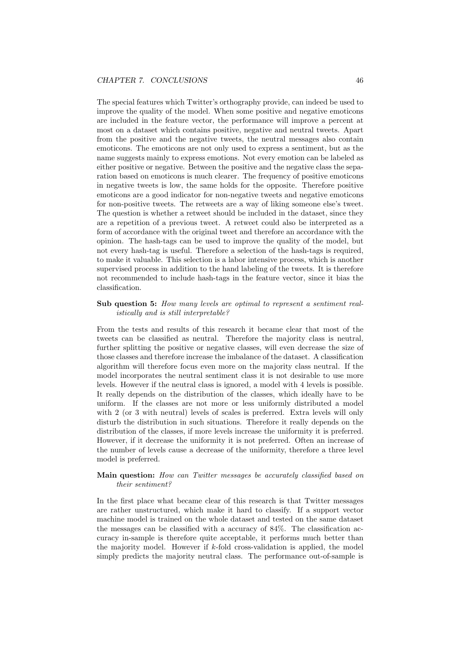The special features which Twitter's orthography provide, can indeed be used to improve the quality of the model. When some positive and negative emoticons are included in the feature vector, the performance will improve a percent at most on a dataset which contains positive, negative and neutral tweets. Apart from the positive and the negative tweets, the neutral messages also contain emoticons. The emoticons are not only used to express a sentiment, but as the name suggests mainly to express emotions. Not every emotion can be labeled as either positive or negative. Between the positive and the negative class the separation based on emoticons is much clearer. The frequency of positive emoticons in negative tweets is low, the same holds for the opposite. Therefore positive emoticons are a good indicator for non-negative tweets and negative emoticons for non-positive tweets. The retweets are a way of liking someone else's tweet. The question is whether a retweet should be included in the dataset, since they are a repetition of a previous tweet. A retweet could also be interpreted as a form of accordance with the original tweet and therefore an accordance with the opinion. The hash-tags can be used to improve the quality of the model, but not every hash-tag is useful. Therefore a selection of the hash-tags is required, to make it valuable. This selection is a labor intensive process, which is another supervised process in addition to the hand labeling of the tweets. It is therefore not recommended to include hash-tags in the feature vector, since it bias the classification.

### Sub question 5: How many levels are optimal to represent a sentiment realistically and is still interpretable?

From the tests and results of this research it became clear that most of the tweets can be classified as neutral. Therefore the majority class is neutral, further splitting the positive or negative classes, will even decrease the size of those classes and therefore increase the imbalance of the dataset. A classification algorithm will therefore focus even more on the majority class neutral. If the model incorporates the neutral sentiment class it is not desirable to use more levels. However if the neutral class is ignored, a model with 4 levels is possible. It really depends on the distribution of the classes, which ideally have to be uniform. If the classes are not more or less uniformly distributed a model with 2 (or 3 with neutral) levels of scales is preferred. Extra levels will only disturb the distribution in such situations. Therefore it really depends on the distribution of the classes, if more levels increase the uniformity it is preferred. However, if it decrease the uniformity it is not preferred. Often an increase of the number of levels cause a decrease of the uniformity, therefore a three level model is preferred.

#### Main question: How can Twitter messages be accurately classified based on their sentiment?

In the first place what became clear of this research is that Twitter messages are rather unstructured, which make it hard to classify. If a support vector machine model is trained on the whole dataset and tested on the same dataset the messages can be classified with a accuracy of 84%. The classification accuracy in-sample is therefore quite acceptable, it performs much better than the majority model. However if  $k$ -fold cross-validation is applied, the model simply predicts the majority neutral class. The performance out-of-sample is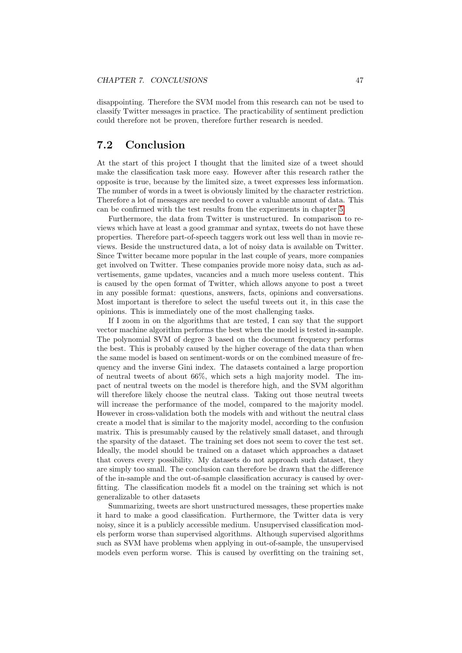disappointing. Therefore the SVM model from this research can not be used to classify Twitter messages in practice. The practicability of sentiment prediction could therefore not be proven, therefore further research is needed.

## <span id="page-50-0"></span>7.2 Conclusion

At the start of this project I thought that the limited size of a tweet should make the classification task more easy. However after this research rather the opposite is true, because by the limited size, a tweet expresses less information. The number of words in a tweet is obviously limited by the character restriction. Therefore a lot of messages are needed to cover a valuable amount of data. This can be confirmed with the test results from the experiments in chapter [5.](#page-26-0)

Furthermore, the data from Twitter is unstructured. In comparison to reviews which have at least a good grammar and syntax, tweets do not have these properties. Therefore part-of-speech taggers work out less well than in movie reviews. Beside the unstructured data, a lot of noisy data is available on Twitter. Since Twitter became more popular in the last couple of years, more companies get involved on Twitter. These companies provide more noisy data, such as advertisements, game updates, vacancies and a much more useless content. This is caused by the open format of Twitter, which allows anyone to post a tweet in any possible format: questions, answers, facts, opinions and conversations. Most important is therefore to select the useful tweets out it, in this case the opinions. This is immediately one of the most challenging tasks.

If I zoom in on the algorithms that are tested, I can say that the support vector machine algorithm performs the best when the model is tested in-sample. The polynomial SVM of degree 3 based on the document frequency performs the best. This is probably caused by the higher coverage of the data than when the same model is based on sentiment-words or on the combined measure of frequency and the inverse Gini index. The datasets contained a large proportion of neutral tweets of about 66%, which sets a high majority model. The impact of neutral tweets on the model is therefore high, and the SVM algorithm will therefore likely choose the neutral class. Taking out those neutral tweets will increase the performance of the model, compared to the majority model. However in cross-validation both the models with and without the neutral class create a model that is similar to the majority model, according to the confusion matrix. This is presumably caused by the relatively small dataset, and through the sparsity of the dataset. The training set does not seem to cover the test set. Ideally, the model should be trained on a dataset which approaches a dataset that covers every possibility. My datasets do not approach such dataset, they are simply too small. The conclusion can therefore be drawn that the difference of the in-sample and the out-of-sample classification accuracy is caused by overfitting. The classification models fit a model on the training set which is not generalizable to other datasets

Summarizing, tweets are short unstructured messages, these properties make it hard to make a good classification. Furthermore, the Twitter data is very noisy, since it is a publicly accessible medium. Unsupervised classification models perform worse than supervised algorithms. Although supervised algorithms such as SVM have problems when applying in out-of-sample, the unsupervised models even perform worse. This is caused by overfitting on the training set,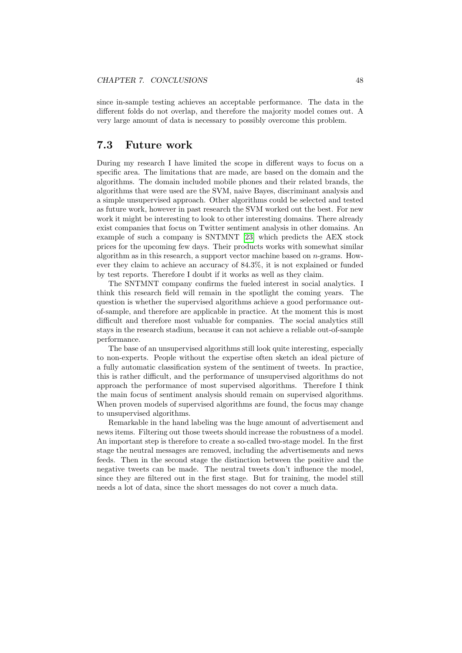since in-sample testing achieves an acceptable performance. The data in the different folds do not overlap, and therefore the majority model comes out. A very large amount of data is necessary to possibly overcome this problem.

## <span id="page-51-0"></span>7.3 Future work

During my research I have limited the scope in different ways to focus on a specific area. The limitations that are made, are based on the domain and the algorithms. The domain included mobile phones and their related brands, the algorithms that were used are the SVM, naive Bayes, discriminant analysis and a simple unsupervised approach. Other algorithms could be selected and tested as future work, however in past research the SVM worked out the best. For new work it might be interesting to look to other interesting domains. There already exist companies that focus on Twitter sentiment analysis in other domains. An example of such a company is SNTMNT [\[23\]](#page-60-15) which predicts the AEX stock prices for the upcoming few days. Their products works with somewhat similar algorithm as in this research, a support vector machine based on n-grams. However they claim to achieve an accuracy of 84.3%, it is not explained or funded by test reports. Therefore I doubt if it works as well as they claim.

The SNTMNT company confirms the fueled interest in social analytics. I think this research field will remain in the spotlight the coming years. The question is whether the supervised algorithms achieve a good performance outof-sample, and therefore are applicable in practice. At the moment this is most difficult and therefore most valuable for companies. The social analytics still stays in the research stadium, because it can not achieve a reliable out-of-sample performance.

The base of an unsupervised algorithms still look quite interesting, especially to non-experts. People without the expertise often sketch an ideal picture of a fully automatic classification system of the sentiment of tweets. In practice, this is rather difficult, and the performance of unsupervised algorithms do not approach the performance of most supervised algorithms. Therefore I think the main focus of sentiment analysis should remain on supervised algorithms. When proven models of supervised algorithms are found, the focus may change to unsupervised algorithms.

Remarkable in the hand labeling was the huge amount of advertisement and news items. Filtering out those tweets should increase the robustness of a model. An important step is therefore to create a so-called two-stage model. In the first stage the neutral messages are removed, including the advertisements and news feeds. Then in the second stage the distinction between the positive and the negative tweets can be made. The neutral tweets don't influence the model, since they are filtered out in the first stage. But for training, the model still needs a lot of data, since the short messages do not cover a much data.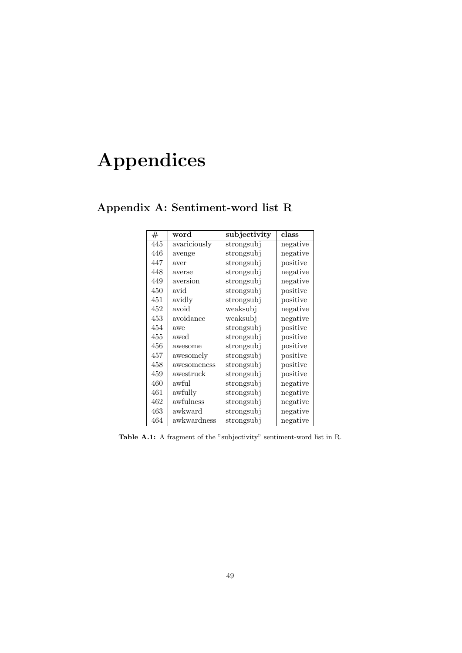# <span id="page-52-0"></span>Appendices

| #   | word         | subjectivity | class    |
|-----|--------------|--------------|----------|
| 445 | avariciously | strongsubj   | negative |
| 446 | avenge       | strongsubj   | negative |
| 447 | aver         | strongsubj   | positive |
| 448 | averse       | strongsubj   | negative |
| 449 | aversion     | strongsubj   | negative |
| 450 | avid         | strongsubj   | positive |
| 451 | avidly       | strongsubj   | positive |
| 452 | avoid        | weaksubj     | negative |
| 453 | avoidance    | weaksubj     | negative |
| 454 | awe          | strongsubj   | positive |
| 455 | awed         | strongsubj   | positive |
| 456 | awesome      | strongsubj   | positive |
| 457 | awesomely    | strongsubj   | positive |
| 458 | awesomeness  | strongsubj   | positive |
| 459 | awestruck    | strongsubj   | positive |
| 460 | awful        | strongsubj   | negative |
| 461 | awfully      | strongsubj   | negative |
| 462 | awfulness    | strongsubj   | negative |
| 463 | awkward      | strongsubj   | negative |
| 464 | awkwardness  | strongsubj   | negative |

<span id="page-52-1"></span>Appendix A: Sentiment-word list R

Table A.1: A fragment of the "subjectivity" sentiment-word list in R.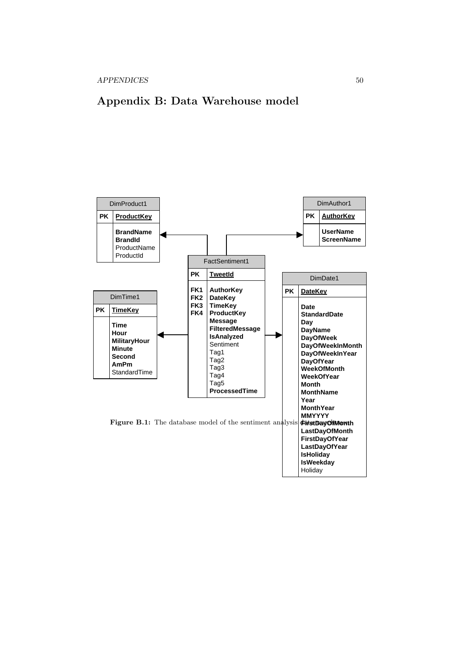APPENDICES 50

## <span id="page-53-1"></span><span id="page-53-0"></span>Appendix B: Data Warehouse model

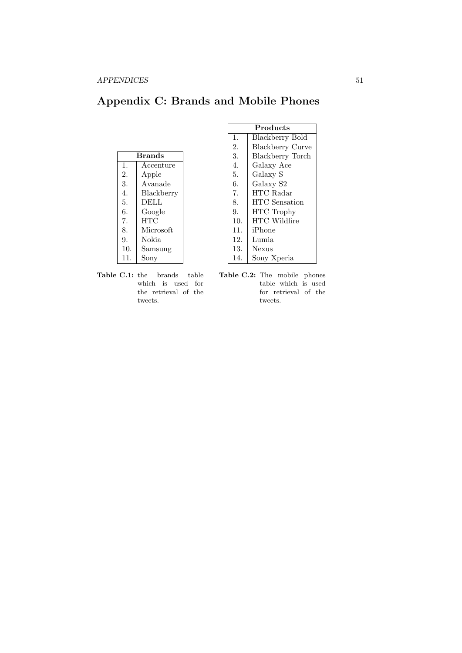## <span id="page-54-0"></span>Appendix C: Brands and Mobile Phones

|                | <b>Brands</b> |  |  |
|----------------|---------------|--|--|
| $\mathbf{1}$ . | Accenture     |  |  |
| 2.             | Apple         |  |  |
| 3.             | Avanade       |  |  |
| 4.             | Blackberry    |  |  |
| 5.             | DELL          |  |  |
| 6.             | Google        |  |  |
| 7.             | <b>HTC</b>    |  |  |
| 8.             | Microsoft     |  |  |
| 9.             | Nokia         |  |  |
| 10.            | Samsung       |  |  |
| 11.            | Sony          |  |  |

| Products |                         |  |
|----------|-------------------------|--|
| 1.       | Blackberry Bold         |  |
| 2.       | <b>Blackberry Curve</b> |  |
| 3.       | <b>Blackberry Torch</b> |  |
| 4.       | Galaxy Ace              |  |
| 5.       | Galaxy S                |  |
| 6.       | Galaxy S2               |  |
| 7.       | HTC Radar               |  |
| 8.       | <b>HTC</b> Sensation    |  |
| 9.       | <b>HTC</b> Trophy       |  |
| 10.      | <b>HTC</b> Wildfire     |  |
| 11.      | iPhone                  |  |
| 12.      | Lumia                   |  |
| 13.      | Nexus                   |  |
| 14.      | Sony Xperia             |  |

Table C.1: the brands table which is used for the retrieval of the tweets.

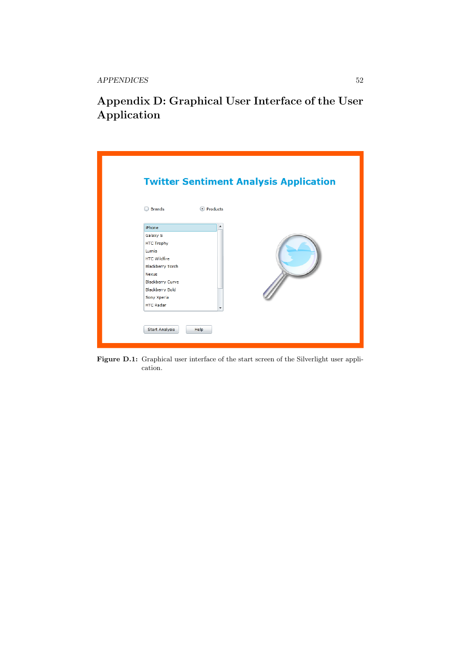APPENDICES 52

## <span id="page-55-0"></span>Appendix D: Graphical User Interface of the User Application

| <b>Brands</b>                                                                                                                                                                                                                       | <b>Twitter Sentiment Analysis Application</b><br><sup>O</sup> Products |
|-------------------------------------------------------------------------------------------------------------------------------------------------------------------------------------------------------------------------------------|------------------------------------------------------------------------|
| iPhone<br>Galaxy S<br><b>HTC Trophy</b><br>Lumia<br><b>HTC</b> Wildfire<br><b>Blackberry Torch</b><br><b>Nexus</b><br><b>Blackberry Curve</b><br><b>Blackberry Bold</b><br>Sony Xperia<br><b>HTC Radar</b><br><b>Start Analysis</b> | $\blacktriangle$<br>۰<br>Help                                          |

Figure D.1: Graphical user interface of the start screen of the Silverlight user application.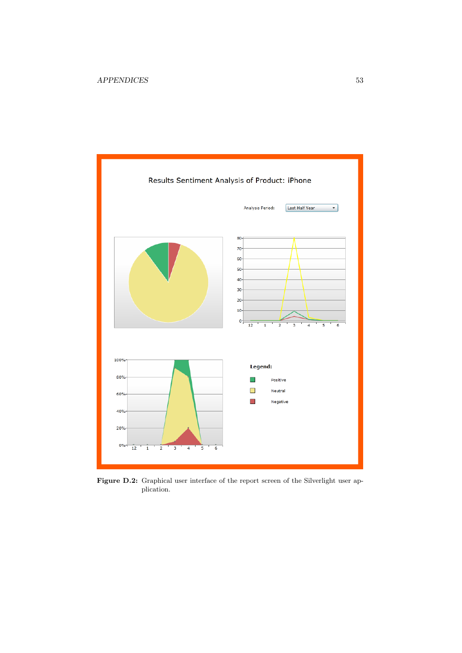

Figure D.2: Graphical user interface of the report screen of the Silverlight user application.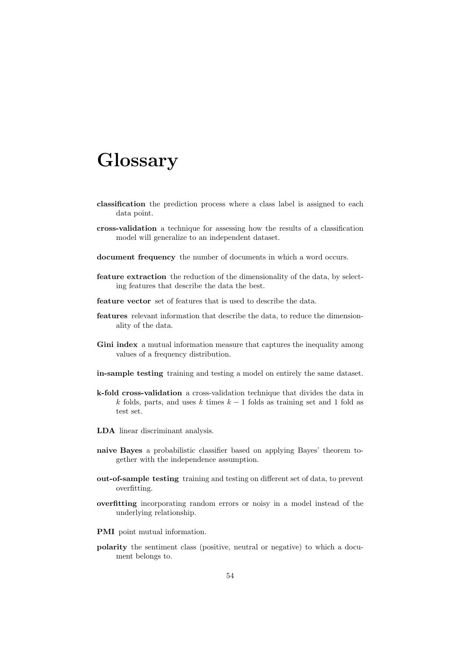# <span id="page-57-0"></span>Glossary

- classification the prediction process where a class label is assigned to each data point.
- cross-validation a technique for assessing how the results of a classification model will generalize to an independent dataset.
- document frequency the number of documents in which a word occurs.
- feature extraction the reduction of the dimensionality of the data, by selecting features that describe the data the best.
- feature vector set of features that is used to describe the data.
- features relevant information that describe the data, to reduce the dimensionality of the data.
- Gini index a mutual information measure that captures the inequality among values of a frequency distribution.
- in-sample testing training and testing a model on entirely the same dataset.
- k-fold cross-validation a cross-validation technique that divides the data in k folds, parts, and uses k times  $k - 1$  folds as training set and 1 fold as test set.
- LDA linear discriminant analysis.
- naive Bayes a probabilistic classifier based on applying Bayes' theorem together with the independence assumption.
- out-of-sample testing training and testing on different set of data, to prevent overfitting.
- overfitting incorporating random errors or noisy in a model instead of the underlying relationship.
- PMI point mutual information.
- polarity the sentiment class (positive, neutral or negative) to which a document belongs to.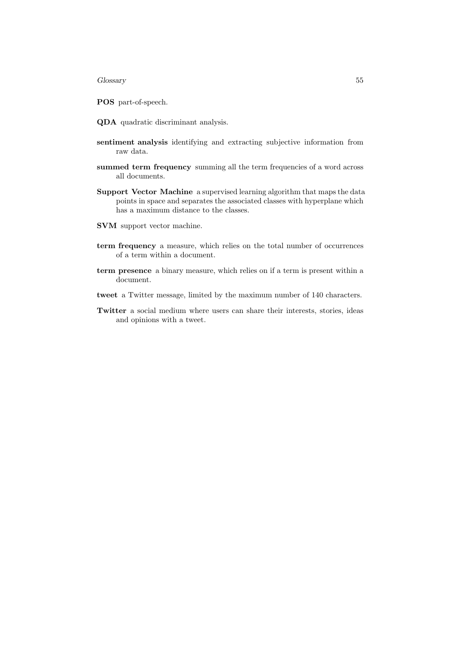### Glossary 55

POS part-of-speech.

- QDA quadratic discriminant analysis.
- sentiment analysis identifying and extracting subjective information from raw data.
- summed term frequency summing all the term frequencies of a word across all documents.
- Support Vector Machine a supervised learning algorithm that maps the data points in space and separates the associated classes with hyperplane which has a maximum distance to the classes.
- SVM support vector machine.
- term frequency a measure, which relies on the total number of occurrences of a term within a document.
- term presence a binary measure, which relies on if a term is present within a document.
- tweet a Twitter message, limited by the maximum number of 140 characters.
- Twitter a social medium where users can share their interests, stories, ideas and opinions with a tweet.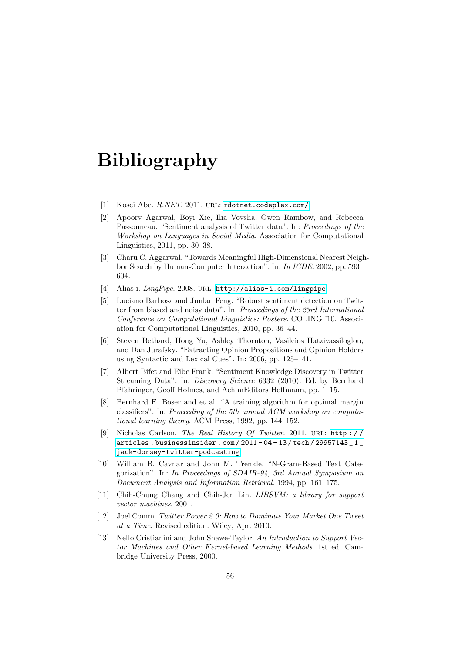# <span id="page-59-0"></span>Bibliography

- <span id="page-59-12"></span>[1] Kosei Abe. R.NET. 2011. URL: <rdotnet.codeplex.com/>.
- <span id="page-59-3"></span>[2] Apoorv Agarwal, Boyi Xie, Ilia Vovsha, Owen Rambow, and Rebecca Passonneau. "Sentiment analysis of Twitter data". In: Proceedings of the Workshop on Languages in Social Media. Association for Computational Linguistics, 2011, pp. 30–38.
- <span id="page-59-8"></span>[3] Charu C. Aggarwal. "Towards Meaningful High-Dimensional Nearest Neighbor Search by Human-Computer Interaction". In: In ICDE. 2002, pp. 593– 604.
- <span id="page-59-5"></span>[4] Alias-i. LingPipe. 2008. URL: <http://alias-i.com/lingpipe>.
- <span id="page-59-7"></span>[5] Luciano Barbosa and Junlan Feng. "Robust sentiment detection on Twitter from biased and noisy data". In: Proceedings of the 23rd International Conference on Computational Linguistics: Posters. COLING '10. Association for Computational Linguistics, 2010, pp. 36–44.
- <span id="page-59-6"></span>[6] Steven Bethard, Hong Yu, Ashley Thornton, Vasileios Hatzivassiloglou, and Dan Jurafsky. "Extracting Opinion Propositions and Opinion Holders using Syntactic and Lexical Cues". In: 2006, pp. 125–141.
- <span id="page-59-9"></span>[7] Albert Bifet and Eibe Frank. "Sentiment Knowledge Discovery in Twitter Streaming Data". In: Discovery Science 6332 (2010). Ed. by Bernhard Pfahringer, Geoff Holmes, and AchimEditors Hoffmann, pp. 1–15.
- <span id="page-59-11"></span>[8] Bernhard E. Boser and et al. "A training algorithm for optimal margin classifiers". In: Proceeding of the 5th annual ACM workshop on computational learning theory. ACM Press, 1992, pp. 144–152.
- <span id="page-59-1"></span>[9] Nicholas Carlson. The Real History Of Twitter. 2011. url: [http : / /](http://articles.businessinsider.com/2011-04-13/tech/29957143_1_jack-dorsey-twitter-podcasting) [articles . businessinsider . com / 2011 - 04 - 13 / tech / 29957143 \\_ 1 \\_](http://articles.businessinsider.com/2011-04-13/tech/29957143_1_jack-dorsey-twitter-podcasting) [jack-dorsey-twitter-podcasting](http://articles.businessinsider.com/2011-04-13/tech/29957143_1_jack-dorsey-twitter-podcasting).
- <span id="page-59-4"></span>[10] William B. Cavnar and John M. Trenkle. "N-Gram-Based Text Categorization". In: In Proceedings of SDAIR-94, 3rd Annual Symposium on Document Analysis and Information Retrieval. 1994, pp. 161–175.
- [11] Chih-Chung Chang and Chih-Jen Lin. *LIBSVM: a library for support* vector machines. 2001.
- <span id="page-59-2"></span>[12] Joel Comm. Twitter Power 2.0: How to Dominate Your Market One Tweet at a Time. Revised edition. Wiley, Apr. 2010.
- <span id="page-59-10"></span>[13] Nello Cristianini and John Shawe-Taylor. An Introduction to Support Vector Machines and Other Kernel-based Learning Methods. 1st ed. Cambridge University Press, 2000.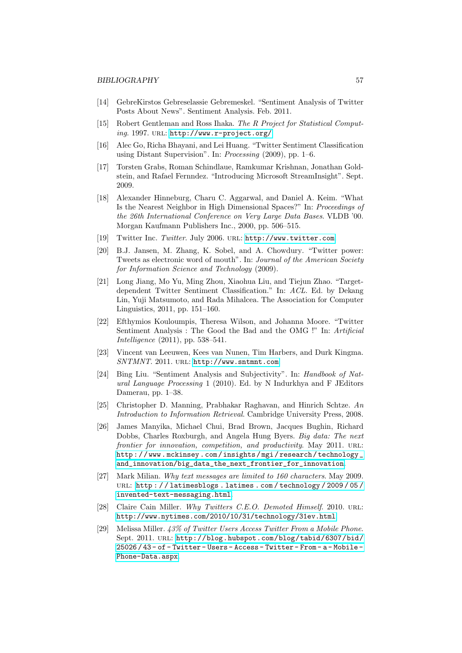- <span id="page-60-7"></span>[14] GebreKirstos Gebreselassie Gebremeskel. "Sentiment Analysis of Twitter Posts About News". Sentiment Analysis. Feb. 2011.
- <span id="page-60-13"></span>[15] Robert Gentleman and Ross Ihaka. The R Project for Statistical Computing. 1997. URL: <http://www.r-project.org/>.
- <span id="page-60-8"></span>[16] Alec Go, Richa Bhayani, and Lei Huang. "Twitter Sentiment Classification using Distant Supervision". In: Processing (2009), pp. 1–6.
- <span id="page-60-14"></span>[17] Torsten Grabs, Roman Schindlaue, Ramkumar Krishnan, Jonathan Goldstein, and Rafael Fernndez. "Introducing Microsoft StreamInsight". Sept. 2009.
- <span id="page-60-11"></span>[18] Alexander Hinneburg, Charu C. Aggarwal, and Daniel A. Keim. "What Is the Nearest Neighbor in High Dimensional Spaces?" In: Proceedings of the 26th International Conference on Very Large Data Bases. VLDB '00. Morgan Kaufmann Publishers Inc., 2000, pp. 506–515.
- <span id="page-60-4"></span>[19] Twitter Inc. Twitter. July 2006. URL: <http://www.twitter.com>.
- <span id="page-60-6"></span>[20] B.J. Jansen, M. Zhang, K. Sobel, and A. Chowdury. "Twitter power: Tweets as electronic word of mouth". In: Journal of the American Society for Information Science and Technology (2009).
- <span id="page-60-9"></span>[21] Long Jiang, Mo Yu, Ming Zhou, Xiaohua Liu, and Tiejun Zhao. "Targetdependent Twitter Sentiment Classification." In: ACL. Ed. by Dekang Lin, Yuji Matsumoto, and Rada Mihalcea. The Association for Computer Linguistics, 2011, pp. 151–160.
- <span id="page-60-10"></span>[22] Efthymios Kouloumpis, Theresa Wilson, and Johanna Moore. "Twitter Sentiment Analysis : The Good the Bad and the OMG !" In: Artificial Intelligence (2011), pp. 538–541.
- <span id="page-60-15"></span>[23] Vincent van Leeuwen, Kees van Nunen, Tim Harbers, and Durk Kingma. SNTMNT. 2011. url: <http://www.sntmnt.com>.
- <span id="page-60-1"></span>[24] Bing Liu. "Sentiment Analysis and Subjectivity". In: Handbook of Natural Language Processing 1 (2010). Ed. by N Indurkhya and F JEditors Damerau, pp. 1–38.
- <span id="page-60-12"></span>[25] Christopher D. Manning, Prabhakar Raghavan, and Hinrich Schtze. An Introduction to Information Retrieval. Cambridge University Press, 2008.
- <span id="page-60-5"></span>[26] James Manyika, Michael Chui, Brad Brown, Jacques Bughin, Richard Dobbs, Charles Roxburgh, and Angela Hung Byers. Big data: The next frontier for innovation, competition, and productivity. May 2011. URL: http://www.mckinsey.com/insights/mgi/research/technology\_ [and\\_innovation/big\\_data\\_the\\_next\\_frontier\\_for\\_innovation](http://www.mckinsey.com/insights/mgi/research/technology_and_innovation/big_data_the_next_frontier_for_innovation).
- <span id="page-60-2"></span>[27] Mark Milian. Why text messages are limited to 160 characters. May 2009. URL: http://latimesblogs.latimes.com/technology/2009/05/ [invented-text-messaging.html](http://latimesblogs.latimes.com/technology/2009/05/invented-text-messaging.html).
- <span id="page-60-3"></span>[28] Claire Cain Miller. Why Twitters C.E.O. Demoted Himself. 2010. URL: <http://www.nytimes.com/2010/10/31/technology/31ev.html>.
- <span id="page-60-0"></span>[29] Melissa Miller. 43% of Twitter Users Access Twitter From a Mobile Phone. Sept. 2011. url: [http://blog.hubspot.com/blog/tabid/6307/bid/](http://blog.hubspot.com/blog/tabid/6307/bid/25026/43-of-Twitter-Users-Access-Twitter-From-a-Mobile-Phone-Data.aspx) [25026 / 43 - of - Twitter - Users - Access - Twitter - From - a - Mobile -](http://blog.hubspot.com/blog/tabid/6307/bid/25026/43-of-Twitter-Users-Access-Twitter-From-a-Mobile-Phone-Data.aspx) [Phone-Data.aspx](http://blog.hubspot.com/blog/tabid/6307/bid/25026/43-of-Twitter-Users-Access-Twitter-From-a-Mobile-Phone-Data.aspx).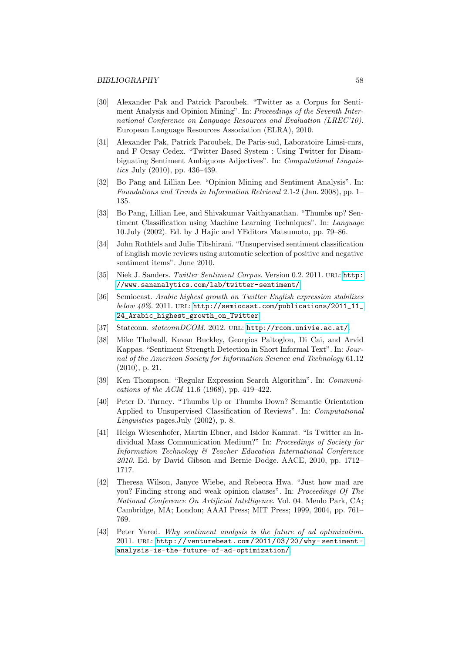- <span id="page-61-5"></span>[30] Alexander Pak and Patrick Paroubek. "Twitter as a Corpus for Sentiment Analysis and Opinion Mining". In: Proceedings of the Seventh International Conference on Language Resources and Evaluation (LREC'10). European Language Resources Association (ELRA), 2010.
- <span id="page-61-6"></span>[31] Alexander Pak, Patrick Paroubek, De Paris-sud, Laboratoire Limsi-cnrs, and F Orsay Cedex. "Twitter Based System : Using Twitter for Disambiguating Sentiment Ambiguous Adjectives". In: Computational Linguistics July (2010), pp. 436–439.
- <span id="page-61-2"></span>[32] Bo Pang and Lillian Lee. "Opinion Mining and Sentiment Analysis". In: Foundations and Trends in Information Retrieval 2.1-2 (Jan. 2008), pp. 1– 135.
- <span id="page-61-8"></span>[33] Bo Pang, Lillian Lee, and Shivakumar Vaithyanathan. "Thumbs up? Sentiment Classification using Machine Learning Techniques". In: Language 10.July (2002). Ed. by J Hajic and YEditors Matsumoto, pp. 79–86.
- <span id="page-61-10"></span>[34] John Rothfels and Julie Tibshirani. "Unsupervised sentiment classification of English movie reviews using automatic selection of positive and negative sentiment items". June 2010.
- <span id="page-61-11"></span>[35] Niek J. Sanders. Twitter Sentiment Corpus. Version 0.2. 2011. URL: [http:](http://www.sananalytics.com/lab/twitter-sentiment/) [//www.sananalytics.com/lab/twitter-sentiment/](http://www.sananalytics.com/lab/twitter-sentiment/).
- <span id="page-61-0"></span>[36] Semiocast. Arabic highest growth on Twitter English expression stabilizes  $below~40\%$ . 2011. URL: [http://semiocast.com/publications/2011\\_11\\_](http://semiocast.com/publications/2011_11_24_Arabic_highest_growth_on_Twitter) [24\\_Arabic\\_highest\\_growth\\_on\\_Twitter](http://semiocast.com/publications/2011_11_24_Arabic_highest_growth_on_Twitter).
- <span id="page-61-12"></span>[37] Statconn. statconnDCOM. 2012. URL: <http://rcom.univie.ac.at/>.
- <span id="page-61-4"></span>[38] Mike Thelwall, Kevan Buckley, Georgios Paltoglou, Di Cai, and Arvid Kappas. "Sentiment Strength Detection in Short Informal Text". In: Journal of the American Society for Information Science and Technology 61.12 (2010), p. 21.
- <span id="page-61-7"></span>[39] Ken Thompson. "Regular Expression Search Algorithm". In: Communications of the ACM 11.6 (1968), pp. 419–422.
- <span id="page-61-9"></span>[40] Peter D. Turney. "Thumbs Up or Thumbs Down? Semantic Orientation Applied to Unsupervised Classification of Reviews". In: Computational Linguistics pages.July (2002), p. 8.
- [41] Helga Wiesenhofer, Martin Ebner, and Isidor Kamrat. "Is Twitter an Individual Mass Communication Medium?" In: Proceedings of Society for Information Technology & Teacher Education International Conference 2010. Ed. by David Gibson and Bernie Dodge. AACE, 2010, pp. 1712– 1717.
- <span id="page-61-1"></span>[42] Theresa Wilson, Janyce Wiebe, and Rebecca Hwa. "Just how mad are you? Finding strong and weak opinion clauses". In: Proceedings Of The National Conference On Artificial Intelligence. Vol. 04. Menlo Park, CA; Cambridge, MA; London; AAAI Press; MIT Press; 1999, 2004, pp. 761– 769.
- <span id="page-61-3"></span>[43] Peter Yared. Why sentiment analysis is the future of ad optimization. 2011. url: [http://venturebeat.com/2011/03/20/why- sentiment](http://venturebeat.com/2011/03/20/why-sentiment-analysis-is-the-future-of-ad-optimization/)[analysis-is-the-future-of-ad-optimization/](http://venturebeat.com/2011/03/20/why-sentiment-analysis-is-the-future-of-ad-optimization/).